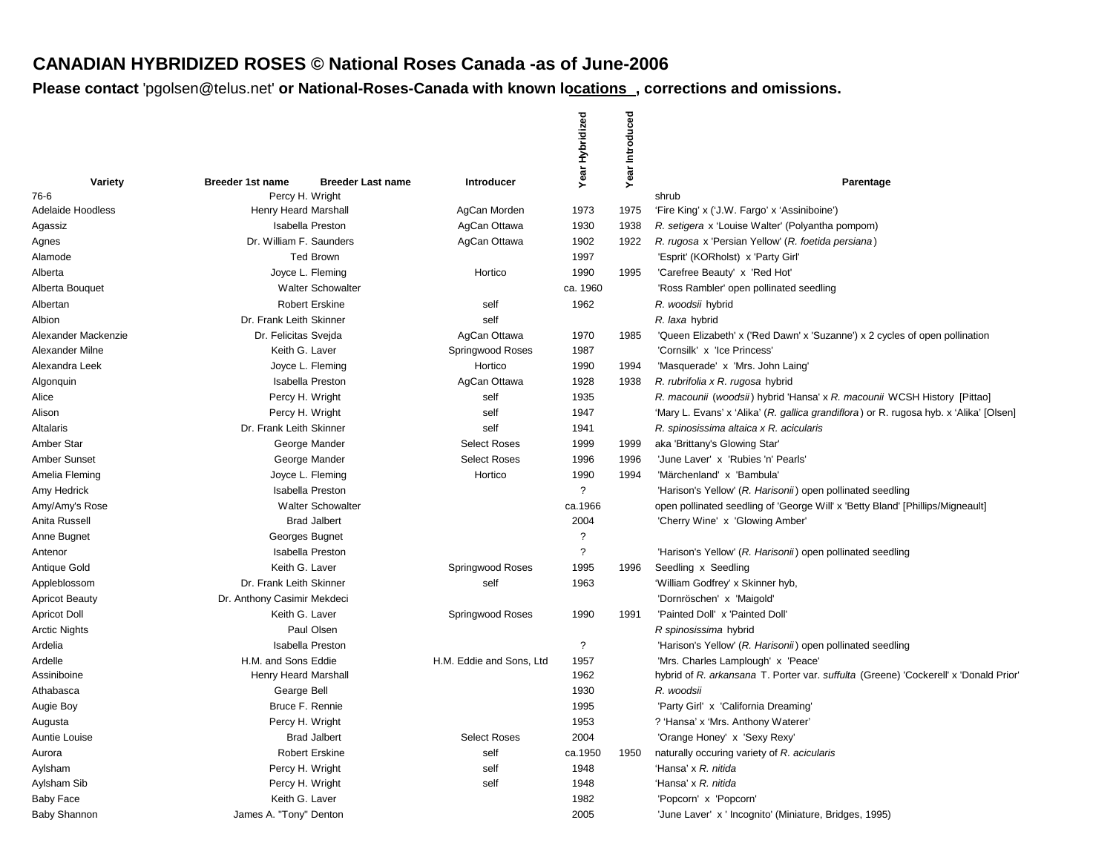# **CANADIAN HYBRIDIZED ROSES © National Roses Canada -as of June-2006**

|                          |         |                                                                        |                           | Year Hybridized          | Introduced |                                                                                        |
|--------------------------|---------|------------------------------------------------------------------------|---------------------------|--------------------------|------------|----------------------------------------------------------------------------------------|
| 76-6                     | Variety | <b>Breeder 1st name</b><br><b>Breeder Last name</b><br>Percy H. Wright | <b>Introducer</b>         |                          | Year       | Parentage<br>shrub                                                                     |
| <b>Adelaide Hoodless</b> |         | Henry Heard Marshall                                                   | AgCan Morden              | 1973                     | 1975       | 'Fire King' x ('J.W. Fargo' x 'Assiniboine')                                           |
| Agassiz                  |         | <b>Isabella Preston</b>                                                | AgCan Ottawa              | 1930                     | 1938       | R. setigera x 'Louise Walter' (Polyantha pompom)                                       |
| Agnes                    |         | Dr. William F. Saunders                                                | AgCan Ottawa              | 1902                     | 1922       | R. rugosa x 'Persian Yellow' (R. foetida persiana)                                     |
| Alamode                  |         | <b>Ted Brown</b>                                                       |                           | 1997                     |            | 'Esprit' (KORholst) x 'Party Girl'                                                     |
| Alberta                  |         | Joyce L. Fleming                                                       | Hortico                   | 1990                     | 1995       | 'Carefree Beauty' x 'Red Hot'                                                          |
| Alberta Bouquet          |         | <b>Walter Schowalter</b>                                               |                           | ca. 1960                 |            | 'Ross Rambler' open pollinated seedling                                                |
| Albertan                 |         | <b>Robert Erskine</b>                                                  | self                      | 1962                     |            | R. woodsii hybrid                                                                      |
| Albion                   |         | Dr. Frank Leith Skinner                                                | self                      |                          |            | R. laxa hybrid                                                                         |
| Alexander Mackenzie      |         | Dr. Felicitas Svejda                                                   | AgCan Ottawa              | 1970                     | 1985       | 'Queen Elizabeth' x ('Red Dawn' x 'Suzanne') x 2 cycles of open pollination            |
| Alexander Milne          |         | Keith G. Laver                                                         | Springwood Roses          | 1987                     |            | 'Cornsilk' x 'Ice Princess'                                                            |
| Alexandra Leek           |         | Joyce L. Fleming                                                       | Hortico                   | 1990                     | 1994       | 'Masquerade' x 'Mrs. John Laing'                                                       |
| Algonquin                |         | <b>Isabella Preston</b>                                                | AgCan Ottawa              | 1928                     | 1938       | R. rubrifolia x R. rugosa hybrid                                                       |
| Alice                    |         | Percy H. Wright                                                        | self                      | 1935                     |            | R. macounii (woodsii) hybrid 'Hansa' x R. macounii WCSH History [Pittao]               |
| Alison                   |         | Percy H. Wright                                                        | self                      | 1947                     |            | 'Mary L. Evans' x 'Alika' (R. gallica grandiflora) or R. rugosa hyb. x 'Alika' [Olsen] |
| Altalaris                |         | Dr. Frank Leith Skinner                                                | self                      | 1941                     |            | R. spinosissima altaica x R. acicularis                                                |
| Amber Star               |         | George Mander                                                          | <b>Select Roses</b>       | 1999                     | 1999       | aka 'Brittany's Glowing Star'                                                          |
| <b>Amber Sunset</b>      |         | George Mander                                                          | <b>Select Roses</b>       | 1996                     | 1996       | 'June Laver' x 'Rubies 'n' Pearls'                                                     |
| Amelia Fleming           |         | Joyce L. Fleming                                                       | Hortico                   | 1990                     | 1994       | 'Märchenland' x 'Bambula'                                                              |
| Amy Hedrick              |         | <b>Isabella Preston</b>                                                |                           | $\overline{?}$           |            | 'Harison's Yellow' (R. Harisonii) open pollinated seedling                             |
| Amy/Amy's Rose           |         | <b>Walter Schowalter</b>                                               |                           | ca.1966                  |            | open pollinated seedling of 'George Will' x 'Betty Bland' [Phillips/Migneault]         |
| Anita Russell            |         | <b>Brad Jalbert</b>                                                    |                           | 2004                     |            | 'Cherry Wine' x 'Glowing Amber'                                                        |
| Anne Bugnet              |         | Georges Bugnet                                                         |                           | $\overline{\mathcal{L}}$ |            |                                                                                        |
| Antenor                  |         | <b>Isabella Preston</b>                                                |                           | $\overline{\phantom{0}}$ |            | 'Harison's Yellow' (R. Harisonii) open pollinated seedling                             |
| Antique Gold             |         | Keith G. Laver                                                         | Springwood Roses          | 1995                     | 1996       | Seedling x Seedling                                                                    |
| Appleblossom             |         | Dr. Frank Leith Skinner                                                | self                      | 1963                     |            | 'William Godfrey' x Skinner hyb,                                                       |
| <b>Apricot Beauty</b>    |         | Dr. Anthony Casimir Mekdeci                                            |                           |                          |            | 'Dornröschen' x 'Maigold'                                                              |
| <b>Apricot Doll</b>      |         | Keith G. Laver                                                         | Springwood Roses          | 1990                     | 1991       | 'Painted Doll' x 'Painted Doll'                                                        |
| <b>Arctic Nights</b>     |         | Paul Olsen                                                             |                           |                          |            | R spinosissima hybrid                                                                  |
| Ardelia                  |         | <b>Isabella Preston</b>                                                |                           | $\cdot$                  |            | 'Harison's Yellow' (R. Harisonii) open pollinated seedling                             |
| Ardelle                  |         | H.M. and Sons Eddie                                                    | H.M. Eddie and Sons. Ltd. | 1957                     |            | 'Mrs. Charles Lamplough' x 'Peace'                                                     |
| Assiniboine              |         | Henry Heard Marshall                                                   |                           | 1962                     |            | hybrid of R. arkansana T. Porter var. suffulta (Greene) 'Cockerell' x 'Donald Prior'   |
| Athabasca                |         | Gearge Bell                                                            |                           | 1930                     |            | R. woodsii                                                                             |
| Augie Boy                |         | Bruce F. Rennie                                                        |                           | 1995                     |            | 'Party Girl' x 'California Dreaming'                                                   |
| Augusta                  |         | Percy H. Wright                                                        |                           | 1953                     |            | ? 'Hansa' x 'Mrs. Anthony Waterer'                                                     |
| Auntie Louise            |         | <b>Brad Jalbert</b>                                                    | <b>Select Roses</b>       | 2004                     |            | 'Orange Honey' x 'Sexy Rexy'                                                           |
| Aurora                   |         | <b>Robert Erskine</b>                                                  | self                      | ca.1950                  | 1950       | naturally occuring variety of R. acicularis                                            |
| Aylsham                  |         | Percy H. Wright                                                        | self                      | 1948                     |            | 'Hansa' x R. nitida                                                                    |
| Aylsham Sib              |         | Percy H. Wright                                                        | self                      | 1948                     |            | 'Hansa' x R. nitida                                                                    |
| <b>Baby Face</b>         |         | Keith G. Laver                                                         |                           | 1982                     |            | 'Popcorn' x 'Popcorn'                                                                  |
| <b>Baby Shannon</b>      |         | James A. "Tony" Denton                                                 |                           | 2005                     |            | 'June Laver' x ' Incognito' (Miniature, Bridges, 1995)                                 |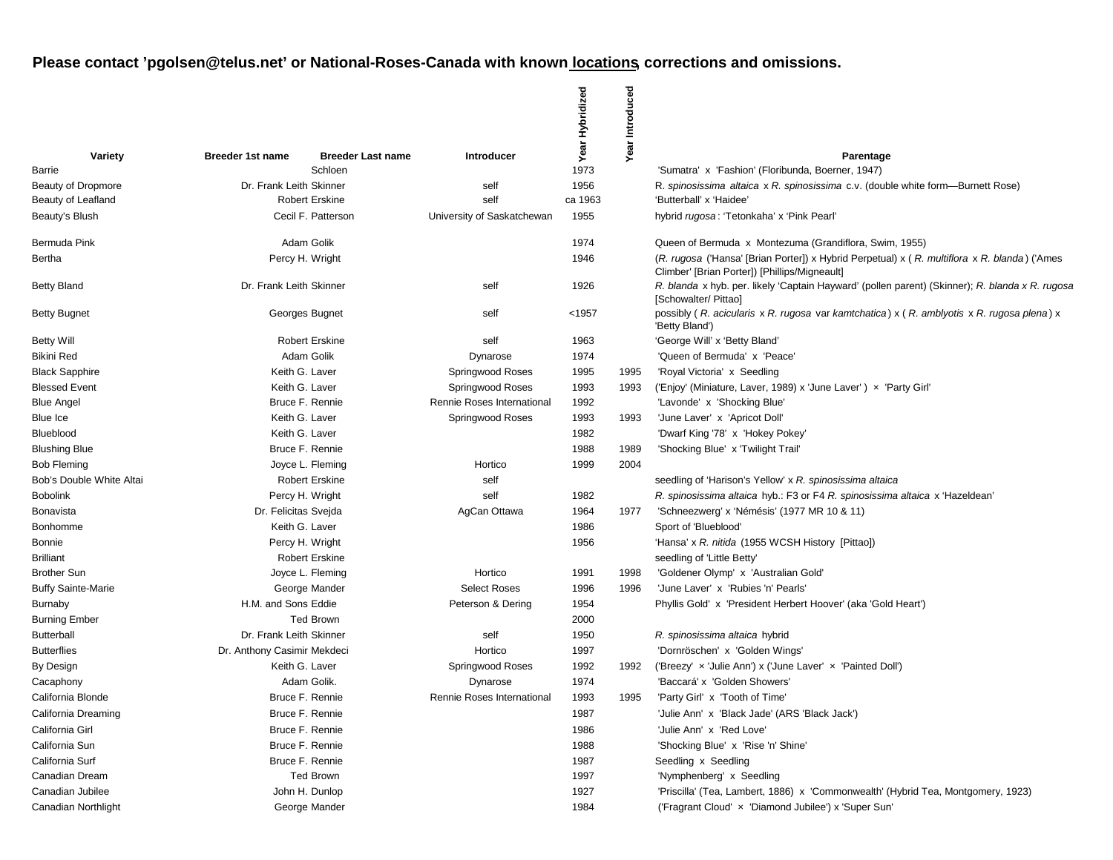|                           |                          |                             |                          |                            | Year Hybridized | Introduced |                                                                                                                                               |
|---------------------------|--------------------------|-----------------------------|--------------------------|----------------------------|-----------------|------------|-----------------------------------------------------------------------------------------------------------------------------------------------|
|                           | Variety                  | Breeder 1st name            | <b>Breeder Last name</b> | <b>Introducer</b>          |                 | Year       | Parentage                                                                                                                                     |
| Barrie                    |                          |                             | Schloen                  |                            | 1973            |            | 'Sumatra' x 'Fashion' (Floribunda, Boerner, 1947)                                                                                             |
| Beauty of Dropmore        |                          | Dr. Frank Leith Skinner     |                          | self                       | 1956            |            | R. spinosissima altaica x R. spinosissima c.v. (double white form—Burnett Rose)                                                               |
| Beauty of Leafland        |                          |                             | <b>Robert Erskine</b>    | self                       | ca 1963         |            | 'Butterball' x 'Haidee'                                                                                                                       |
| Beauty's Blush            |                          |                             | Cecil F. Patterson       | University of Saskatchewan | 1955            |            | hybrid rugosa: 'Tetonkaha' x 'Pink Pearl'                                                                                                     |
| Bermuda Pink              |                          |                             | Adam Golik               |                            | 1974            |            | Queen of Bermuda x Montezuma (Grandiflora, Swim, 1955)                                                                                        |
| Bertha                    |                          |                             | Percy H. Wright          |                            | 1946            |            | (R. rugosa ('Hansa' [Brian Porter]) x Hybrid Perpetual) x (R. multiflora x R. blanda) ('Ames<br>Climber' [Brian Porter]) [Phillips/Migneault] |
| <b>Betty Bland</b>        |                          | Dr. Frank Leith Skinner     |                          | self                       | 1926            |            | R. blanda x hyb. per. likely 'Captain Hayward' (pollen parent) (Skinner); R. blanda x R. rugosa<br>[Schowalter/ Pittao]                       |
| <b>Betty Bugnet</b>       |                          |                             | Georges Bugnet           | self                       | < 1957          |            | possibly (R. acicularis x R. rugosa var kamtchatica) x (R. amblyotis x R. rugosa plena) x<br>'Betty Bland')                                   |
| <b>Betty Will</b>         |                          |                             | <b>Robert Erskine</b>    | self                       | 1963            |            | 'George Will' x 'Betty Bland'                                                                                                                 |
| <b>Bikini Red</b>         |                          |                             | Adam Golik               | Dynarose                   | 1974            |            | 'Queen of Bermuda' x 'Peace'                                                                                                                  |
| <b>Black Sapphire</b>     |                          |                             | Keith G. Laver           | Springwood Roses           | 1995            | 1995       | 'Royal Victoria' x Seedling                                                                                                                   |
| <b>Blessed Event</b>      |                          |                             | Keith G. Laver           | Springwood Roses           | 1993            | 1993       | ('Enjoy' (Miniature, Laver, 1989) x 'June Laver') x 'Party Girl'                                                                              |
| <b>Blue Angel</b>         |                          |                             | Bruce F. Rennie          | Rennie Roses International | 1992            |            | 'Lavonde' x 'Shocking Blue'                                                                                                                   |
| Blue Ice                  |                          |                             | Keith G. Laver           | Springwood Roses           | 1993            | 1993       | 'June Laver' x 'Apricot Doll'                                                                                                                 |
| Blueblood                 |                          |                             | Keith G. Laver           |                            | 1982            |            | 'Dwarf King '78' x 'Hokey Pokey'                                                                                                              |
| <b>Blushing Blue</b>      |                          |                             | Bruce F. Rennie          |                            | 1988            | 1989       | 'Shocking Blue' x 'Twilight Trail                                                                                                             |
| <b>Bob Fleming</b>        |                          |                             | Joyce L. Fleming         | Hortico                    | 1999            | 2004       |                                                                                                                                               |
|                           | Bob's Double White Altai |                             | <b>Robert Erskine</b>    | self                       |                 |            | seedling of 'Harison's Yellow' x R. spinosissima altaica                                                                                      |
| <b>Bobolink</b>           |                          |                             | Percy H. Wright          | self                       | 1982            |            | R. spinosissima altaica hyb.: F3 or F4 R. spinosissima altaica x 'Hazeldean'                                                                  |
| <b>Bonavista</b>          |                          | Dr. Felicitas Svejda        |                          | AgCan Ottawa               | 1964            | 1977       | 'Schneezwerg' x 'Némésis' (1977 MR 10 & 11)                                                                                                   |
| Bonhomme                  |                          |                             | Keith G. Laver           |                            | 1986            |            | Sport of 'Blueblood'                                                                                                                          |
| <b>Bonnie</b>             |                          |                             | Percy H. Wright          |                            | 1956            |            | 'Hansa' x R. nitida (1955 WCSH History [Pittao])                                                                                              |
| <b>Brilliant</b>          |                          |                             | <b>Robert Erskine</b>    |                            |                 |            | seedling of 'Little Betty'                                                                                                                    |
| <b>Brother Sun</b>        |                          |                             | Joyce L. Fleming         | Hortico                    | 1991            | 1998       | 'Goldener Olymp' x 'Australian Gold'                                                                                                          |
| <b>Buffy Sainte-Marie</b> |                          |                             | George Mander            | <b>Select Roses</b>        | 1996            | 1996       | 'June Laver' x 'Rubies 'n' Pearls'                                                                                                            |
| <b>Burnaby</b>            |                          | H.M. and Sons Eddie         |                          | Peterson & Dering          | 1954            |            | Phyllis Gold' x 'President Herbert Hoover' (aka 'Gold Heart')                                                                                 |
| <b>Burning Ember</b>      |                          |                             | <b>Ted Brown</b>         |                            | 2000            |            |                                                                                                                                               |
| <b>Butterball</b>         |                          | Dr. Frank Leith Skinner     |                          | self                       | 1950            |            | R. spinosissima altaica hybrid                                                                                                                |
| <b>Butterflies</b>        |                          | Dr. Anthony Casimir Mekdeci |                          | Hortico                    | 1997            |            | 'Dornröschen' x 'Golden Wings'                                                                                                                |
| By Design                 |                          |                             | Keith G. Laver           | Springwood Roses           | 1992            | 1992       | ('Breezy' x 'Julie Ann') x ('June Laver' x 'Painted Doll')                                                                                    |
| Cacaphony                 |                          |                             | Adam Golik.              | Dynarose                   | 1974            |            | 'Baccará' x 'Golden Showers'                                                                                                                  |
| California Blonde         |                          |                             | Bruce F. Rennie          | Rennie Roses International | 1993            | 1995       | 'Party Girl' x 'Tooth of Time'                                                                                                                |
| California Dreaming       |                          |                             | Bruce F. Rennie          |                            | 1987            |            | 'Julie Ann' x 'Black Jade' (ARS 'Black Jack')                                                                                                 |
| California Girl           |                          |                             | Bruce F. Rennie          |                            | 1986            |            | 'Julie Ann' x 'Red Love'                                                                                                                      |
| California Sun            |                          |                             | Bruce F. Rennie          |                            | 1988            |            | 'Shocking Blue' x 'Rise 'n' Shine'                                                                                                            |
| California Surf           |                          |                             | Bruce F. Rennie          |                            | 1987            |            | Seedling x Seedling                                                                                                                           |
| Canadian Dream            |                          |                             | <b>Ted Brown</b>         |                            | 1997            |            | 'Nymphenberg' x Seedling                                                                                                                      |
| Canadian Jubilee          |                          |                             | John H. Dunlop           |                            | 1927            |            | 'Priscilla' (Tea, Lambert, 1886) x 'Commonwealth' (Hybrid Tea, Montgomery, 1923)                                                              |
| Canadian Northlight       |                          |                             | George Mander            |                            | 1984            |            | ('Fragrant Cloud' x 'Diamond Jubilee') x 'Super Sun'                                                                                          |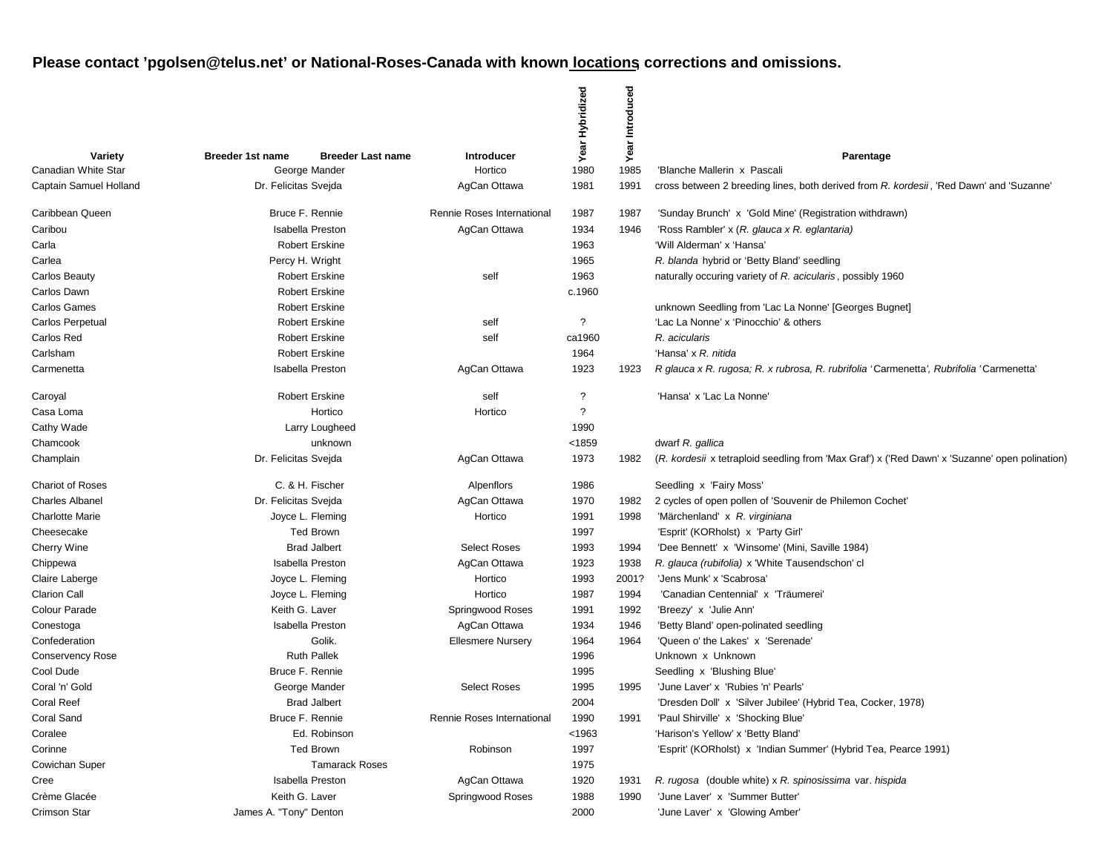|                         |                                                     |                            | Year Hybridized          | ced<br>Introdu |                                                                                                |
|-------------------------|-----------------------------------------------------|----------------------------|--------------------------|----------------|------------------------------------------------------------------------------------------------|
| Variety                 | <b>Breeder 1st name</b><br><b>Breeder Last name</b> | Introducer                 |                          | Year           | Parentage                                                                                      |
| Canadian White Star     | George Mander                                       | Hortico                    | 1980                     | 1985           | 'Blanche Mallerin x Pascali                                                                    |
| Captain Samuel Holland  | Dr. Felicitas Svejda                                | AgCan Ottawa               | 1981                     | 1991           | cross between 2 breeding lines, both derived from R. kordesii, 'Red Dawn' and 'Suzanne'        |
| Caribbean Queen         | Bruce F. Rennie                                     | Rennie Roses International | 1987                     | 1987           | 'Sunday Brunch' x 'Gold Mine' (Registration withdrawn)                                         |
| Caribou                 | <b>Isabella Preston</b>                             | AgCan Ottawa               | 1934                     | 1946           | 'Ross Rambler' x (R. glauca x R. eglantaria)                                                   |
| Carla                   | <b>Robert Erskine</b>                               |                            | 1963                     |                | 'Will Alderman' x 'Hansa'                                                                      |
| Carlea                  | Percy H. Wright                                     |                            | 1965                     |                | R. blanda hybrid or 'Betty Bland' seedling                                                     |
| <b>Carlos Beauty</b>    | <b>Robert Erskine</b>                               | self                       | 1963                     |                | naturally occuring variety of R. acicularis, possibly 1960                                     |
| Carlos Dawn             | <b>Robert Erskine</b>                               |                            | c.1960                   |                |                                                                                                |
| <b>Carlos Games</b>     | <b>Robert Erskine</b>                               |                            |                          |                | unknown Seedling from 'Lac La Nonne' [Georges Bugnet]                                          |
| Carlos Perpetual        | <b>Robert Erskine</b>                               | self                       | ?                        |                | 'Lac La Nonne' x 'Pinocchio' & others                                                          |
| Carlos Red              | <b>Robert Erskine</b>                               | self                       | ca1960                   |                | R. acicularis                                                                                  |
| Carlsham                | <b>Robert Erskine</b>                               |                            | 1964                     |                | 'Hansa' x R. nitida                                                                            |
| Carmenetta              | <b>Isabella Preston</b>                             | AgCan Ottawa               | 1923                     | 1923           | R glauca x R. rugosa; R. x rubrosa, R. rubrifolia 'Carmenetta', Rubrifolia 'Carmenetta'        |
| Caroyal                 | <b>Robert Erskine</b>                               | self                       | ?                        |                | 'Hansa' x 'Lac La Nonne'                                                                       |
| Casa Loma               | Hortico                                             | Hortico                    | $\overline{\mathcal{L}}$ |                |                                                                                                |
| Cathy Wade              | Larry Lougheed                                      |                            | 1990                     |                |                                                                                                |
| Chamcook                | unknown                                             |                            | < 1859                   |                | dwarf R. gallica                                                                               |
| Champlain               | Dr. Felicitas Svejda                                | AgCan Ottawa               | 1973                     | 1982           | (R. kordesii x tetraploid seedling from 'Max Graf') x ('Red Dawn' x 'Suzanne' open polination) |
| <b>Chariot of Roses</b> | C. & H. Fischer                                     | Alpenflors                 | 1986                     |                | Seedling x 'Fairy Moss'                                                                        |
| <b>Charles Albanel</b>  | Dr. Felicitas Svejda                                | AgCan Ottawa               | 1970                     | 1982           | 2 cycles of open pollen of 'Souvenir de Philemon Cochet'                                       |
| <b>Charlotte Marie</b>  | Joyce L. Fleming                                    | Hortico                    | 1991                     | 1998           | 'Märchenland' x R. virginiana                                                                  |
| Cheesecake              | <b>Ted Brown</b>                                    |                            | 1997                     |                | 'Esprit' (KORholst) x 'Party Girl'                                                             |
| Cherry Wine             | <b>Brad Jalbert</b>                                 | <b>Select Roses</b>        | 1993                     | 1994           | 'Dee Bennett' x 'Winsome' (Mini, Saville 1984)                                                 |
| Chippewa                | <b>Isabella Preston</b>                             | AgCan Ottawa               | 1923                     | 1938           | R. glauca (rubifolia) x 'White Tausendschon' cl                                                |
| Claire Laberge          | Joyce L. Fleming                                    | Hortico                    | 1993                     | 2001?          | 'Jens Munk' x 'Scabrosa'                                                                       |
| <b>Clarion Call</b>     | Joyce L. Fleming                                    | Hortico                    | 1987                     | 1994           | 'Canadian Centennial' x 'Träumerei'                                                            |
| Colour Parade           | Keith G. Laver                                      | Springwood Roses           | 1991                     | 1992           | 'Breezy' x 'Julie Ann'                                                                         |
| Conestoga               | <b>Isabella Preston</b>                             | AgCan Ottawa               | 1934                     | 1946           | 'Betty Bland' open-polinated seedling                                                          |
| Confederation           | Golik.                                              | <b>Ellesmere Nursery</b>   | 1964                     | 1964           | 'Queen o' the Lakes' x 'Serenade'                                                              |
| <b>Conservency Rose</b> | <b>Ruth Pallek</b>                                  |                            | 1996                     |                | Unknown x Unknown                                                                              |
| Cool Dude               | Bruce F. Rennie                                     |                            | 1995                     |                | Seedling x 'Blushing Blue'                                                                     |
| Coral 'n' Gold          | George Mander                                       | <b>Select Roses</b>        | 1995                     | 1995           | 'June Laver' x 'Rubies 'n' Pearls'                                                             |
| <b>Coral Reef</b>       | <b>Brad Jalbert</b>                                 |                            | 2004                     |                | 'Dresden Doll' x 'Silver Jubilee' (Hybrid Tea, Cocker, 1978)                                   |
| <b>Coral Sand</b>       | Bruce F. Rennie                                     | Rennie Roses International | 1990                     | 1991           | 'Paul Shirville' x 'Shocking Blue'                                                             |
| Coralee                 | Ed. Robinson                                        |                            | < 1963                   |                | 'Harison's Yellow' x 'Betty Bland'                                                             |
| Corinne                 | <b>Ted Brown</b>                                    | Robinson                   | 1997                     |                | 'Esprit' (KORholst) x 'Indian Summer' (Hybrid Tea, Pearce 1991)                                |
| Cowichan Super          | <b>Tamarack Roses</b>                               |                            | 1975                     |                |                                                                                                |
| Cree                    | <b>Isabella Preston</b>                             | AgCan Ottawa               | 1920                     | 1931           | R. rugosa (double white) x R. spinosissima var. hispida                                        |
| Crème Glacée            | Keith G. Laver                                      | Springwood Roses           | 1988                     | 1990           | 'June Laver' x 'Summer Butter'                                                                 |
| Crimson Star            | James A. "Tony" Denton                              |                            | 2000                     |                | 'June Laver' x 'Glowing Amber'                                                                 |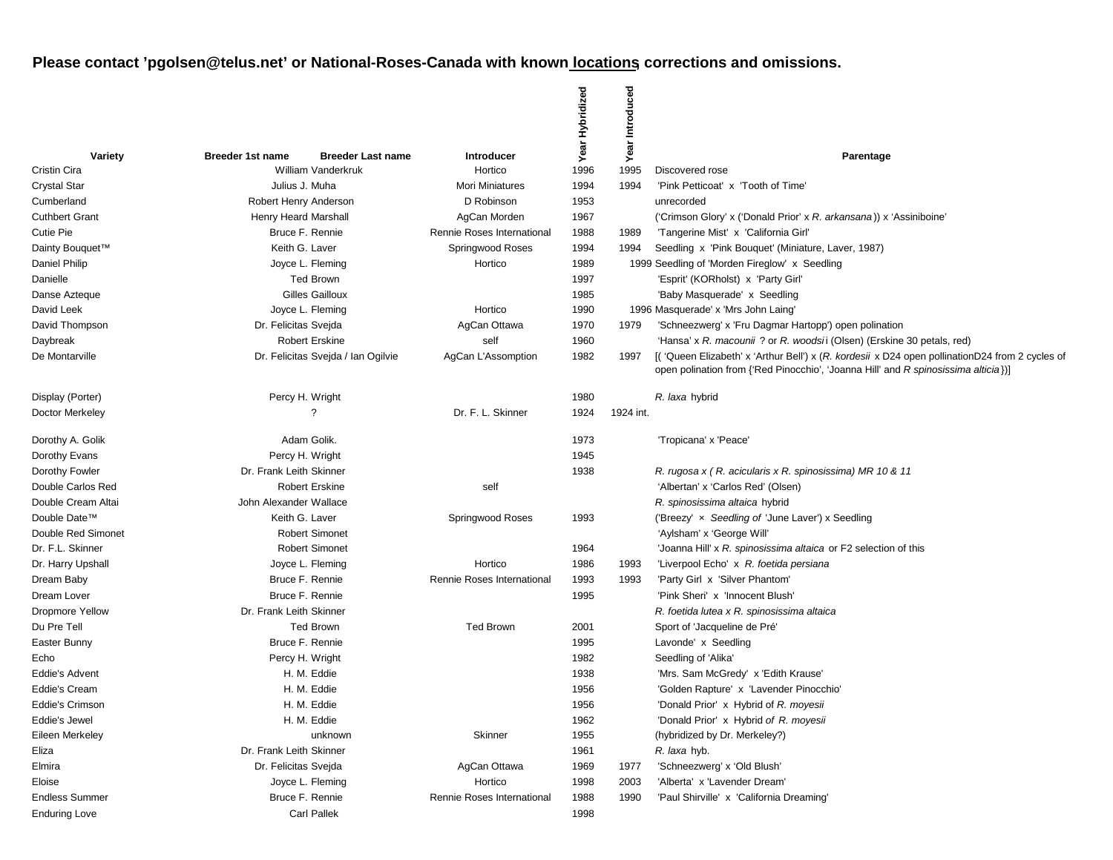|                            |                                                     |                            | Hybridized   | Introduced |                                                                                                                                                                                      |
|----------------------------|-----------------------------------------------------|----------------------------|--------------|------------|--------------------------------------------------------------------------------------------------------------------------------------------------------------------------------------|
| Variety                    | <b>Breeder 1st name</b><br><b>Breeder Last name</b> | <b>Introducer</b>          | Year         | Year       | Parentage                                                                                                                                                                            |
| Cristin Cira               | <b>William Vanderkruk</b>                           | Hortico                    | 1996         | 1995       | Discovered rose                                                                                                                                                                      |
| <b>Crystal Star</b>        | Julius J. Muha                                      | <b>Mori Miniatures</b>     | 1994         | 1994       | 'Pink Petticoat' x 'Tooth of Time'                                                                                                                                                   |
| Cumberland                 | Robert Henry Anderson                               | D Robinson                 | 1953         |            | unrecorded                                                                                                                                                                           |
| <b>Cuthbert Grant</b>      | Henry Heard Marshall                                | AgCan Morden               | 1967         |            | ('Crimson Glory' x ('Donald Prior' x R. arkansana)) x 'Assiniboine'                                                                                                                  |
| Cutie Pie                  | Bruce F. Rennie<br>Keith G. Laver                   | Rennie Roses International | 1988         | 1989       | 'Tangerine Mist' x 'California Girl'                                                                                                                                                 |
| Dainty Bouquet™            |                                                     | Springwood Roses           | 1994         | 1994       | Seedling x 'Pink Bouquet' (Miniature, Laver, 1987)                                                                                                                                   |
| Daniel Philip              | Joyce L. Fleming                                    | Hortico                    | 1989         |            | 1999 Seedling of 'Morden Fireglow' x Seedling                                                                                                                                        |
| Danielle                   | <b>Ted Brown</b><br><b>Gilles Gailloux</b>          |                            | 1997         |            | 'Esprit' (KORholst) x 'Party Girl'                                                                                                                                                   |
| Danse Azteque              |                                                     | Hortico                    | 1985<br>1990 |            | 'Baby Masquerade' x Seedling                                                                                                                                                         |
| David Leek                 | Joyce L. Fleming                                    |                            |              | 1979       | 1996 Masquerade' x 'Mrs John Laing'                                                                                                                                                  |
| David Thompson<br>Daybreak | Dr. Felicitas Svejda<br><b>Robert Erskine</b>       | AgCan Ottawa<br>self       | 1970<br>1960 |            | 'Schneezwerg' x 'Fru Dagmar Hartopp') open polination<br>'Hansa' x R. macounii ? or R. woodsii (Olsen) (Erskine 30 petals, red)                                                      |
| De Montarville             | Dr. Felicitas Svejda / Ian Ogilvie                  |                            | 1982         | 1997       |                                                                                                                                                                                      |
|                            |                                                     | AgCan L'Assomption         |              |            | [('Queen Elizabeth' x 'Arthur Bell') x (R. kordesii x D24 open pollinationD24 from 2 cycles of<br>open polination from {'Red Pinocchio', 'Joanna Hill' and R spinosissima alticia})] |
| Display (Porter)           | Percy H. Wright                                     |                            | 1980         |            | R. laxa hybrid                                                                                                                                                                       |
| Doctor Merkeley            | ?                                                   | Dr. F. L. Skinner          | 1924         | 1924 int.  |                                                                                                                                                                                      |
| Dorothy A. Golik           | Adam Golik.                                         |                            | 1973         |            | 'Tropicana' x 'Peace'                                                                                                                                                                |
| Dorothy Evans              | Percy H. Wright                                     |                            | 1945         |            |                                                                                                                                                                                      |
| Dorothy Fowler             | Dr. Frank Leith Skinner                             |                            | 1938         |            | R. rugosa x (R. acicularis x R. spinosissima) MR 10 & 11                                                                                                                             |
| Double Carlos Red          | <b>Robert Erskine</b>                               | self                       |              |            | 'Albertan' x 'Carlos Red' (Olsen)                                                                                                                                                    |
| Double Cream Altai         | John Alexander Wallace                              |                            |              |            | R. spinosissima altaica hybrid                                                                                                                                                       |
| Double Date™               | Keith G. Laver                                      | Springwood Roses           | 1993         |            | ('Breezy' x Seedling of 'June Laver') x Seedling                                                                                                                                     |
| Double Red Simonet         | <b>Robert Simonet</b>                               |                            |              |            | 'Aylsham' x 'George Will'                                                                                                                                                            |
| Dr. F.L. Skinner           | <b>Robert Simonet</b>                               |                            | 1964         |            | 'Joanna Hill' x R. spinosissima altaica or F2 selection of this                                                                                                                      |
| Dr. Harry Upshall          | Joyce L. Fleming                                    | Hortico                    | 1986         | 1993       | 'Liverpool Echo' x R. foetida persiana                                                                                                                                               |
| Dream Baby                 | Bruce F. Rennie                                     | Rennie Roses International | 1993         | 1993       | 'Party Girl x 'Silver Phantom'                                                                                                                                                       |
| Dream Lover                | Bruce F. Rennie                                     |                            | 1995         |            | 'Pink Sheri' x 'Innocent Blush'                                                                                                                                                      |
| <b>Dropmore Yellow</b>     | Dr. Frank Leith Skinner                             |                            |              |            | R. foetida lutea x R. spinosissima altaica                                                                                                                                           |
| Du Pre Tell                | <b>Ted Brown</b>                                    | <b>Ted Brown</b>           | 2001         |            | Sport of 'Jacqueline de Pré'                                                                                                                                                         |
| Easter Bunny               | Bruce F. Rennie                                     |                            | 1995         |            | Lavonde' x Seedling                                                                                                                                                                  |
| Echo                       | Percy H. Wright                                     |                            | 1982         |            | Seedling of 'Alika'                                                                                                                                                                  |
| <b>Eddie's Advent</b>      | H. M. Eddie                                         |                            | 1938         |            | 'Mrs. Sam McGredy' x 'Edith Krause'                                                                                                                                                  |
| <b>Eddie's Cream</b>       | H. M. Eddie                                         |                            | 1956         |            | 'Golden Rapture' x 'Lavender Pinocchio'                                                                                                                                              |
| <b>Eddie's Crimson</b>     | H. M. Eddie                                         |                            | 1956         |            | 'Donald Prior' x Hybrid of R. moyesii                                                                                                                                                |
| Eddie's Jewel              | H. M. Eddie                                         |                            | 1962         |            | 'Donald Prior' x Hybrid of R. moyesii                                                                                                                                                |
| Eileen Merkeley            | unknown                                             | Skinner                    | 1955         |            | (hybridized by Dr. Merkeley?)                                                                                                                                                        |
| Eliza                      | Dr. Frank Leith Skinner                             |                            | 1961         |            | R. laxa hyb.                                                                                                                                                                         |
| Elmira                     | Dr. Felicitas Svejda                                | AgCan Ottawa               | 1969         | 1977       | 'Schneezwerg' x 'Old Blush'                                                                                                                                                          |
| Eloise                     | Joyce L. Fleming                                    | Hortico                    | 1998         | 2003       | 'Alberta' x 'Lavender Dream'                                                                                                                                                         |
| <b>Endless Summer</b>      | Bruce F. Rennie                                     | Rennie Roses International | 1988         | 1990       | 'Paul Shirville' x 'California Dreaming'                                                                                                                                             |
| <b>Enduring Love</b>       | <b>Carl Pallek</b>                                  |                            | 1998         |            |                                                                                                                                                                                      |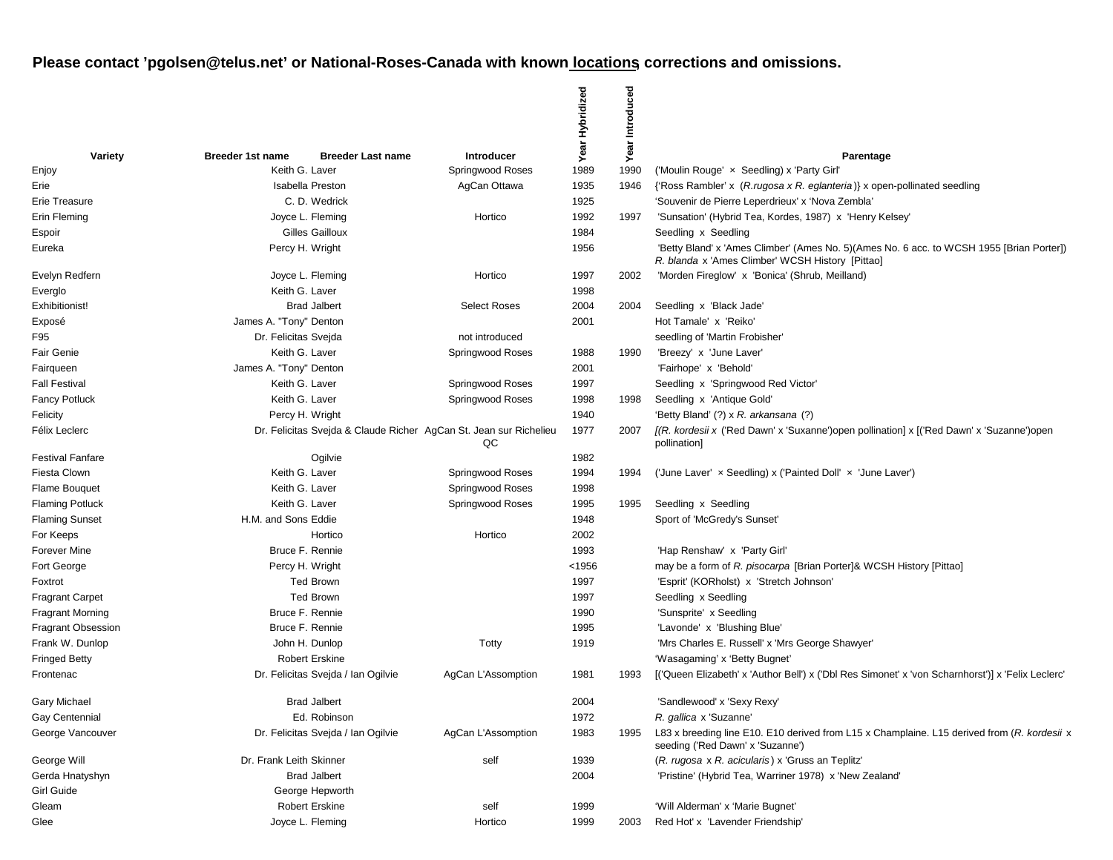|                           |                                                                   |                                    |                     | Year Hybridized | Introduced |                                                                                                                                               |
|---------------------------|-------------------------------------------------------------------|------------------------------------|---------------------|-----------------|------------|-----------------------------------------------------------------------------------------------------------------------------------------------|
| Variety                   | <b>Breeder 1st name</b>                                           | <b>Breeder Last name</b>           | <b>Introducer</b>   |                 | Year       | Parentage                                                                                                                                     |
| Enjoy                     | Keith G. Laver                                                    |                                    | Springwood Roses    | 1989            | 1990       | ('Moulin Rouge' x Seedling) x 'Party Girl'                                                                                                    |
| Erie                      |                                                                   | <b>Isabella Preston</b>            | AgCan Ottawa        | 1935            | 1946       | {'Ross Rambler' x (R. rugosa x R. eglanteria)} x open-pollinated seedling                                                                     |
| Erie Treasure             |                                                                   | C. D. Wedrick                      |                     | 1925            |            | 'Souvenir de Pierre Leperdrieux' x 'Nova Zembla'                                                                                              |
| Erin Fleming              |                                                                   | Joyce L. Fleming                   | Hortico             | 1992            | 1997       | 'Sunsation' (Hybrid Tea, Kordes, 1987) x 'Henry Kelsey'                                                                                       |
| Espoir                    |                                                                   | Gilles Gailloux                    |                     | 1984            |            | Seedling x Seedling                                                                                                                           |
| Eureka                    |                                                                   | Percy H. Wright                    |                     | 1956            |            | 'Betty Bland' x 'Ames Climber' (Ames No. 5) (Ames No. 6 acc. to WCSH 1955 [Brian Porter])<br>R. blanda x 'Ames Climber' WCSH History [Pittao] |
| Evelyn Redfern            |                                                                   | Joyce L. Fleming                   | Hortico             | 1997            | 2002       | 'Morden Fireglow' x 'Bonica' (Shrub, Meilland)                                                                                                |
| Everglo                   | Keith G. Laver                                                    |                                    |                     | 1998            |            |                                                                                                                                               |
| Exhibitionist!            |                                                                   | <b>Brad Jalbert</b>                | <b>Select Roses</b> | 2004            | 2004       | Seedling x 'Black Jade'                                                                                                                       |
| Exposé                    | James A. "Tony" Denton                                            |                                    |                     | 2001            |            | Hot Tamale' x 'Reiko'                                                                                                                         |
| F95                       | Dr. Felicitas Svejda                                              |                                    | not introduced      |                 |            | seedling of 'Martin Frobisher'                                                                                                                |
| <b>Fair Genie</b>         | Keith G. Laver                                                    |                                    | Springwood Roses    | 1988            | 1990       | 'Breezy' x 'June Laver'                                                                                                                       |
| Fairqueen                 | James A. "Tony" Denton                                            |                                    |                     | 2001            |            | 'Fairhope' x 'Behold'                                                                                                                         |
| <b>Fall Festival</b>      | Keith G. Laver                                                    |                                    | Springwood Roses    | 1997            |            | Seedling x 'Springwood Red Victor'                                                                                                            |
| <b>Fancy Potluck</b>      | Keith G. Laver                                                    |                                    | Springwood Roses    | 1998            | 1998       | Seedling x 'Antique Gold'                                                                                                                     |
| Felicity                  | Percy H. Wright                                                   |                                    |                     | 1940            |            | 'Betty Bland' (?) x R. arkansana (?)                                                                                                          |
| Félix Leclerc             | Dr. Felicitas Svejda & Claude Richer AgCan St. Jean sur Richelieu |                                    | QC                  | 1977            | 2007       | [(R. kordesii x ('Red Dawn' x 'Suxanne')open pollination] x [('Red Dawn' x 'Suzanne')open<br>pollination]                                     |
| <b>Festival Fanfare</b>   |                                                                   | Ogilvie                            |                     | 1982            |            |                                                                                                                                               |
| Fiesta Clown              | Keith G. Laver                                                    |                                    | Springwood Roses    | 1994            | 1994       | ('June Laver' x Seedling) x ('Painted Doll' x 'June Laver')                                                                                   |
| Flame Bouquet             | Keith G. Laver                                                    |                                    | Springwood Roses    | 1998            |            |                                                                                                                                               |
| <b>Flaming Potluck</b>    | Keith G. Laver                                                    |                                    | Springwood Roses    | 1995            | 1995       | Seedling x Seedling                                                                                                                           |
| <b>Flaming Sunset</b>     | H.M. and Sons Eddie                                               |                                    |                     | 1948            |            | Sport of 'McGredy's Sunset'                                                                                                                   |
| For Keeps                 |                                                                   | Hortico                            | Hortico             | 2002            |            |                                                                                                                                               |
| <b>Forever Mine</b>       |                                                                   | Bruce F. Rennie                    |                     | 1993            |            | 'Hap Renshaw' x 'Party Girl'                                                                                                                  |
| Fort George               |                                                                   | Percy H. Wright                    |                     | < 1956          |            | may be a form of R. pisocarpa [Brian Porter]& WCSH History [Pittao]                                                                           |
| Foxtrot                   |                                                                   | <b>Ted Brown</b>                   |                     | 1997            |            | 'Esprit' (KORholst) x 'Stretch Johnson'                                                                                                       |
| <b>Fragrant Carpet</b>    |                                                                   | <b>Ted Brown</b>                   |                     | 1997            |            | Seedling x Seedling                                                                                                                           |
| <b>Fragrant Morning</b>   |                                                                   | Bruce F. Rennie                    |                     | 1990            |            | 'Sunsprite' x Seedling                                                                                                                        |
| <b>Fragrant Obsession</b> |                                                                   | Bruce F. Rennie                    |                     | 1995            |            | 'Lavonde' x 'Blushing Blue'                                                                                                                   |
| Frank W. Dunlop           |                                                                   | John H. Dunlop                     | Totty               | 1919            |            | 'Mrs Charles E. Russell' x 'Mrs George Shawyer'                                                                                               |
| <b>Fringed Betty</b>      |                                                                   | <b>Robert Erskine</b>              |                     |                 |            | 'Wasagaming' x 'Betty Bugnet'                                                                                                                 |
| Frontenac                 |                                                                   | Dr. Felicitas Svejda / Ian Ogilvie | AgCan L'Assomption  | 1981            | 1993       | [('Queen Elizabeth' x 'Author Bell') x ('Dbl Res Simonet' x 'von Scharnhorst')] x 'Felix Leclerc'                                             |
| <b>Gary Michael</b>       |                                                                   | <b>Brad Jalbert</b>                |                     | 2004            |            | 'Sandlewood' x 'Sexy Rexy'                                                                                                                    |
| Gay Centennial            |                                                                   | Ed. Robinson                       |                     | 1972            |            | R. gallica x 'Suzanne'                                                                                                                        |
| George Vancouver          |                                                                   | Dr. Felicitas Sveida / Ian Ogilvie | AgCan L'Assomption  | 1983            | 1995       | L83 x breeding line E10. E10 derived from L15 x Champlaine. L15 derived from (R. kordesii x<br>seeding ('Red Dawn' x 'Suzanne')               |
| George Will               | Dr. Frank Leith Skinner                                           |                                    | self                | 1939            |            | (R. rugosa x R. acicularis) x 'Gruss an Teplitz'                                                                                              |
| Gerda Hnatyshyn           |                                                                   | <b>Brad Jalbert</b>                |                     | 2004            |            | 'Pristine' (Hybrid Tea, Warriner 1978) x 'New Zealand'                                                                                        |
| Girl Guide                |                                                                   | George Hepworth                    |                     |                 |            |                                                                                                                                               |
| Gleam                     |                                                                   | <b>Robert Erskine</b>              | self                | 1999            |            | 'Will Alderman' x 'Marie Bugnet'                                                                                                              |
| Glee                      |                                                                   | Joyce L. Fleming                   | Hortico             | 1999            | 2003       | Red Hot' x 'Lavender Friendship'                                                                                                              |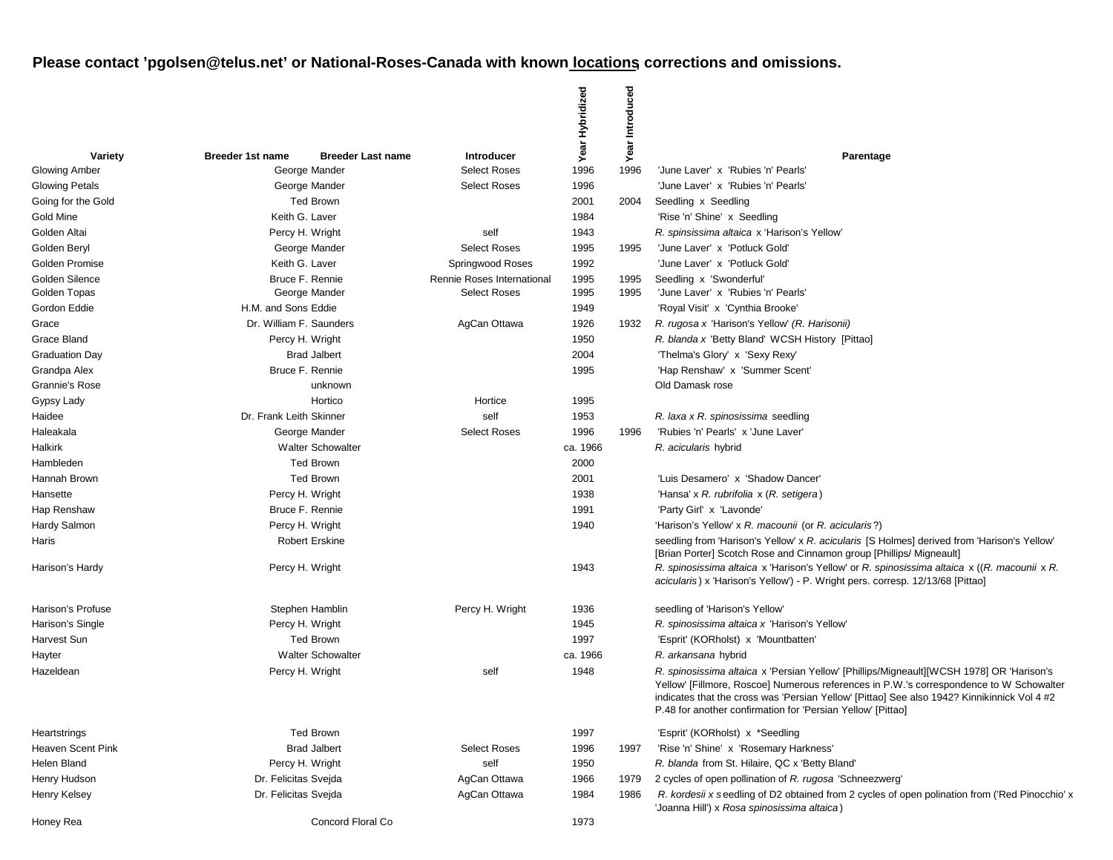|                       |                          |                          |                            | Year Hybridized | Introduced |                                                                                                                                                                                                                                                                                                                                                   |
|-----------------------|--------------------------|--------------------------|----------------------------|-----------------|------------|---------------------------------------------------------------------------------------------------------------------------------------------------------------------------------------------------------------------------------------------------------------------------------------------------------------------------------------------------|
| Variety               | <b>Breeder 1st name</b>  | <b>Breeder Last name</b> | <b>Introducer</b>          |                 | Year       | Parentage                                                                                                                                                                                                                                                                                                                                         |
| Glowing Amber         |                          | George Mander            | <b>Select Roses</b>        | 1996            | 1996       | 'June Laver' x 'Rubies 'n' Pearls'                                                                                                                                                                                                                                                                                                                |
| <b>Glowing Petals</b> |                          | George Mander            | <b>Select Roses</b>        | 1996            |            | 'June Laver' x 'Rubies 'n' Pearls'                                                                                                                                                                                                                                                                                                                |
| Going for the Gold    |                          | <b>Ted Brown</b>         |                            | 2001            | 2004       | Seedling x Seedling                                                                                                                                                                                                                                                                                                                               |
| Gold Mine             | Keith G. Laver           |                          |                            | 1984            |            | 'Rise 'n' Shine' x Seedling                                                                                                                                                                                                                                                                                                                       |
| Golden Altai          | Percy H. Wright          |                          | self                       | 1943            |            | R. spinsissima altaica x 'Harison's Yellow'                                                                                                                                                                                                                                                                                                       |
| Golden Beryl          |                          | George Mander            | <b>Select Roses</b>        | 1995            | 1995       | 'June Laver' x 'Potluck Gold'                                                                                                                                                                                                                                                                                                                     |
| Golden Promise        | Keith G. Laver           |                          | Springwood Roses           | 1992            |            | 'June Laver' x 'Potluck Gold'                                                                                                                                                                                                                                                                                                                     |
| Golden Silence        | Bruce F. Rennie          |                          | Rennie Roses International | 1995            | 1995       | Seedling x 'Swonderful'                                                                                                                                                                                                                                                                                                                           |
| Golden Topas          |                          | George Mander            | <b>Select Roses</b>        | 1995            | 1995       | 'June Laver' x 'Rubies 'n' Pearls'                                                                                                                                                                                                                                                                                                                |
| Gordon Eddie          | H.M. and Sons Eddie      |                          |                            | 1949            |            | 'Royal Visit' x 'Cynthia Brooke'                                                                                                                                                                                                                                                                                                                  |
| Grace                 | Dr. William F. Saunders  |                          | AgCan Ottawa               | 1926            | 1932       | R. rugosa x 'Harison's Yellow' (R. Harisonii)                                                                                                                                                                                                                                                                                                     |
| Grace Bland           | Percy H. Wright          |                          |                            | 1950            |            | R. blanda x 'Betty Bland' WCSH History [Pittao]                                                                                                                                                                                                                                                                                                   |
| <b>Graduation Day</b> |                          | <b>Brad Jalbert</b>      |                            | 2004            |            | 'Thelma's Glory' x 'Sexy Rexy'                                                                                                                                                                                                                                                                                                                    |
| Grandpa Alex          | Bruce F. Rennie          |                          |                            | 1995            |            | 'Hap Renshaw' x 'Summer Scent'                                                                                                                                                                                                                                                                                                                    |
| Grannie's Rose        |                          | unknown                  |                            |                 |            | Old Damask rose                                                                                                                                                                                                                                                                                                                                   |
| Gypsy Lady            |                          | Hortico                  | Hortice                    | 1995            |            |                                                                                                                                                                                                                                                                                                                                                   |
| Haidee                | Dr. Frank Leith Skinner  |                          | self                       | 1953            |            | R. laxa x R. spinosissima seedling                                                                                                                                                                                                                                                                                                                |
| Haleakala             | George Mander            |                          | <b>Select Roses</b>        | 1996            | 1996       | 'Rubies 'n' Pearls' x 'June Laver'                                                                                                                                                                                                                                                                                                                |
| Halkirk               | <b>Walter Schowalter</b> |                          |                            | ca. 1966        |            | R. acicularis hybrid                                                                                                                                                                                                                                                                                                                              |
| Hambleden             |                          | <b>Ted Brown</b>         |                            | 2000            |            |                                                                                                                                                                                                                                                                                                                                                   |
| Hannah Brown          |                          | <b>Ted Brown</b>         |                            | 2001            |            | 'Luis Desamero' x 'Shadow Dancer'                                                                                                                                                                                                                                                                                                                 |
| Hansette              | Percy H. Wright          |                          |                            | 1938            |            | 'Hansa' x R. rubrifolia x (R. setigera)                                                                                                                                                                                                                                                                                                           |
| Hap Renshaw           | Bruce F. Rennie          |                          |                            | 1991            |            | 'Party Girl' x 'Lavonde'                                                                                                                                                                                                                                                                                                                          |
| Hardy Salmon          | Percy H. Wright          |                          |                            | 1940            |            | 'Harison's Yellow' x R. macounii (or R. acicularis?)                                                                                                                                                                                                                                                                                              |
| Haris                 |                          | <b>Robert Erskine</b>    |                            |                 |            | seedling from 'Harison's Yellow' x R. acicularis [S Holmes] derived from 'Harison's Yellow'<br>[Brian Porter] Scotch Rose and Cinnamon group [Phillips/ Migneault]                                                                                                                                                                                |
| Harison's Hardy       | Percy H. Wright          |                          |                            | 1943            |            | R. spinosissima altaica x 'Harison's Yellow' or R. spinosissima altaica x ((R. macounii x R.<br>acicularis) x 'Harison's Yellow') - P. Wright pers. corresp. 12/13/68 [Pittao]                                                                                                                                                                    |
| Harison's Profuse     |                          | Stephen Hamblin          | Percy H. Wright            | 1936            |            | seedling of 'Harison's Yellow'                                                                                                                                                                                                                                                                                                                    |
| Harison's Single      | Percy H. Wright          |                          |                            | 1945            |            | R. spinosissima altaica x 'Harison's Yellow'                                                                                                                                                                                                                                                                                                      |
| Harvest Sun           |                          | Ted Brown                |                            | 1997            |            | 'Esprit' (KORholst) x 'Mountbatten'                                                                                                                                                                                                                                                                                                               |
| Hayter                |                          | <b>Walter Schowalter</b> |                            | ca. 1966        |            | R. arkansana hybrid                                                                                                                                                                                                                                                                                                                               |
| Hazeldean             | Percy H. Wright          |                          | self                       | 1948            |            | R. spinosissima altaica x 'Persian Yellow' [Phillips/Migneault][WCSH 1978] OR 'Harison's<br>Yellow' [Fillmore, Roscoe] Numerous references in P.W.'s correspondence to W Schowalter<br>indicates that the cross was 'Persian Yellow' [Pittao] See also 1942? Kinnikinnick Vol 4 #2<br>P.48 for another confirmation for 'Persian Yellow' [Pittao] |
| Heartstrings          |                          | <b>Ted Brown</b>         |                            | 1997            |            | 'Esprit' (KORholst) x *Seedling                                                                                                                                                                                                                                                                                                                   |
| Heaven Scent Pink     |                          | <b>Brad Jalbert</b>      | <b>Select Roses</b>        | 1996            | 1997       | 'Rise 'n' Shine' x 'Rosemary Harkness'                                                                                                                                                                                                                                                                                                            |
| Helen Bland           | Percy H. Wright          |                          | self                       | 1950            |            | R. blanda from St. Hilaire, QC x 'Betty Bland'                                                                                                                                                                                                                                                                                                    |
| Henry Hudson          | Dr. Felicitas Sveida     |                          | AgCan Ottawa               | 1966            | 1979       | 2 cycles of open pollination of R. rugosa 'Schneezwerg'                                                                                                                                                                                                                                                                                           |
| Henry Kelsey          | Dr. Felicitas Svejda     |                          | AgCan Ottawa               | 1984            | 1986       | R. kordesii x seedling of D2 obtained from 2 cycles of open polination from ('Red Pinocchio' x<br>'Joanna Hill') x Rosa spinosissima altaica)                                                                                                                                                                                                     |
| Honey Rea             |                          | Concord Floral Co        |                            | 1973            |            |                                                                                                                                                                                                                                                                                                                                                   |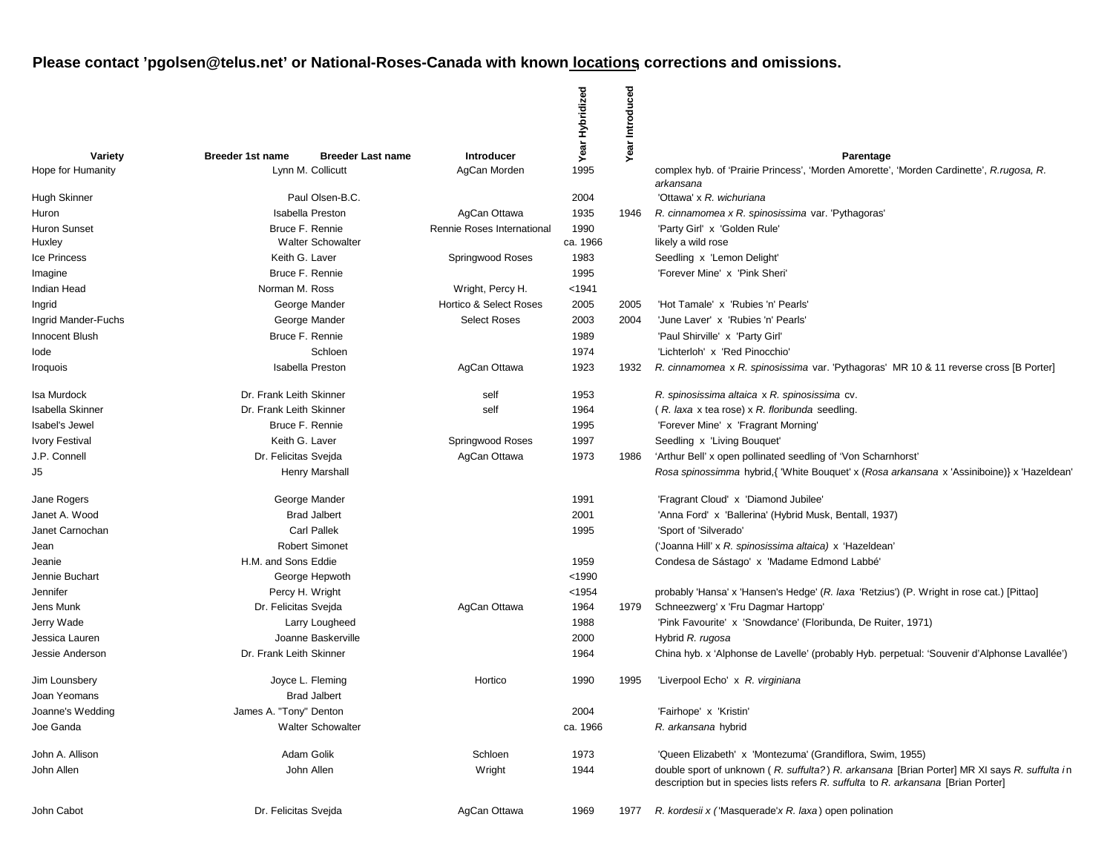|                         |                                                     |                            | Year Hybridized | Introduced |                                                                                                                                                                                    |
|-------------------------|-----------------------------------------------------|----------------------------|-----------------|------------|------------------------------------------------------------------------------------------------------------------------------------------------------------------------------------|
| Variety                 | <b>Breeder 1st name</b><br><b>Breeder Last name</b> | Introducer                 |                 | Year       | Parentage                                                                                                                                                                          |
| Hope for Humanity       | Lynn M. Collicutt                                   | AgCan Morden               | 1995            |            | complex hyb. of 'Prairie Princess', 'Morden Amorette', 'Morden Cardinette', R.rugosa, R.<br>arkansana                                                                              |
| Hugh Skinner            | Paul Olsen-B.C.                                     |                            | 2004            |            | 'Ottawa' x R. wichuriana                                                                                                                                                           |
| Huron                   | <b>Isabella Preston</b>                             | AgCan Ottawa               | 1935            | 1946       | R. cinnamomea x R. spinosissima var. 'Pythagoras'                                                                                                                                  |
| <b>Huron Sunset</b>     | Bruce F. Rennie                                     | Rennie Roses International | 1990            |            | 'Party Girl' x 'Golden Rule'                                                                                                                                                       |
| Huxley                  | <b>Walter Schowalter</b>                            |                            | ca. 1966        |            | likely a wild rose                                                                                                                                                                 |
| <b>Ice Princess</b>     | Keith G. Laver                                      | Springwood Roses           | 1983            |            | Seedling x 'Lemon Delight'                                                                                                                                                         |
| Imagine                 | Bruce F. Rennie                                     |                            | 1995            |            | 'Forever Mine' x 'Pink Sheri'                                                                                                                                                      |
| Indian Head             | Norman M. Ross                                      | Wright, Percy H.           | < 1941          |            |                                                                                                                                                                                    |
| Ingrid                  | George Mander                                       | Hortico & Select Roses     | 2005            | 2005       | 'Hot Tamale' x 'Rubies 'n' Pearls'                                                                                                                                                 |
| Ingrid Mander-Fuchs     | George Mander                                       | <b>Select Roses</b>        | 2003            | 2004       | 'June Laver' x 'Rubies 'n' Pearls'                                                                                                                                                 |
| <b>Innocent Blush</b>   | Bruce F. Rennie                                     |                            | 1989            |            | 'Paul Shirville' x 'Party Girl'                                                                                                                                                    |
| lode                    | Schloen                                             |                            | 1974            |            | 'Lichterloh' x 'Red Pinocchio'                                                                                                                                                     |
| <i><b>Iroquois</b></i>  | <b>Isabella Preston</b>                             | AgCan Ottawa               | 1923            | 1932       | R. cinnamomea x R. spinosissima var. 'Pythagoras' MR 10 & 11 reverse cross [B Porter]                                                                                              |
| Isa Murdock             | Dr. Frank Leith Skinner                             | self                       | 1953            |            | R. spinosissima altaica x R. spinosissima cv.                                                                                                                                      |
| <b>Isabella Skinner</b> | Dr. Frank Leith Skinner                             | self                       | 1964            |            | (R. laxa x tea rose) x R. floribunda seedling.                                                                                                                                     |
| Isabel's Jewel          | Bruce F. Rennie                                     |                            | 1995            |            | 'Forever Mine' x 'Fragrant Morning'                                                                                                                                                |
| <b>Ivory Festival</b>   | Keith G. Laver                                      | Springwood Roses           | 1997            |            | Seedling x 'Living Bouquet'                                                                                                                                                        |
| J.P. Connell            | Dr. Felicitas Svejda                                | AgCan Ottawa               | 1973            | 1986       | 'Arthur Bell' x open pollinated seedling of 'Von Scharnhorst'                                                                                                                      |
| J5                      | Henry Marshall                                      |                            |                 |            | Rosa spinossimma hybrid, { 'White Bouquet' x (Rosa arkansana x 'Assiniboine)} x 'Hazeldean'                                                                                        |
| Jane Rogers             | George Mander                                       |                            | 1991            |            | 'Fragrant Cloud' x 'Diamond Jubilee'                                                                                                                                               |
| Janet A. Wood           | <b>Brad Jalbert</b>                                 |                            | 2001            |            | 'Anna Ford' x 'Ballerina' (Hybrid Musk, Bentall, 1937)                                                                                                                             |
| Janet Carnochan         | <b>Carl Pallek</b>                                  |                            | 1995            |            | 'Sport of 'Silverado'                                                                                                                                                              |
| Jean                    | <b>Robert Simonet</b>                               |                            |                 |            | ('Joanna Hill' x R. spinosissima altaica) x 'Hazeldean'                                                                                                                            |
| Jeanie                  | H.M. and Sons Eddie                                 |                            | 1959            |            | Condesa de Sástago' x 'Madame Edmond Labbé'                                                                                                                                        |
| Jennie Buchart          | George Hepwoth                                      |                            | < 1990          |            |                                                                                                                                                                                    |
| Jennifer                | Percy H. Wright                                     |                            | < 1954          |            | probably 'Hansa' x 'Hansen's Hedge' (R. laxa 'Retzius') (P. Wright in rose cat.) [Pittao]                                                                                          |
| Jens Munk               | Dr. Felicitas Svejda                                | AgCan Ottawa               | 1964            | 1979       | Schneezwerg' x 'Fru Dagmar Hartopp'                                                                                                                                                |
| Jerry Wade              | Larry Lougheed                                      |                            | 1988            |            | 'Pink Favourite' x 'Snowdance' (Floribunda, De Ruiter, 1971)                                                                                                                       |
| Jessica Lauren          | Joanne Baskerville                                  |                            | 2000            |            | Hybrid R. rugosa                                                                                                                                                                   |
| Jessie Anderson         | Dr. Frank Leith Skinner                             |                            | 1964            |            | China hyb. x 'Alphonse de Lavelle' (probably Hyb. perpetual: 'Souvenir d'Alphonse Lavallée')                                                                                       |
| Jim Lounsbery           | Joyce L. Fleming                                    | Hortico                    | 1990            | 1995       | 'Liverpool Echo' x R. virginiana                                                                                                                                                   |
| Joan Yeomans            | <b>Brad Jalbert</b>                                 |                            |                 |            |                                                                                                                                                                                    |
| Joanne's Wedding        | James A. "Tony" Denton                              |                            | 2004            |            | 'Fairhope' x 'Kristin'                                                                                                                                                             |
| Joe Ganda               | <b>Walter Schowalter</b>                            |                            | ca. 1966        |            | R. arkansana hybrid                                                                                                                                                                |
| John A. Allison         | Adam Golik                                          | Schloen                    | 1973            |            | 'Queen Elizabeth' x 'Montezuma' (Grandiflora, Swim, 1955)                                                                                                                          |
| John Allen              | John Allen                                          | Wright                     | 1944            |            | double sport of unknown (R. suffulta?) R. arkansana [Brian Porter] MR XI says R. suffulta in<br>description but in species lists refers R. suffulta to R. arkansana [Brian Porter] |
| John Cabot              | Dr. Felicitas Svejda                                | AgCan Ottawa               | 1969            | 1977       | R. kordesii x ('Masquerade'x R. laxa) open polination                                                                                                                              |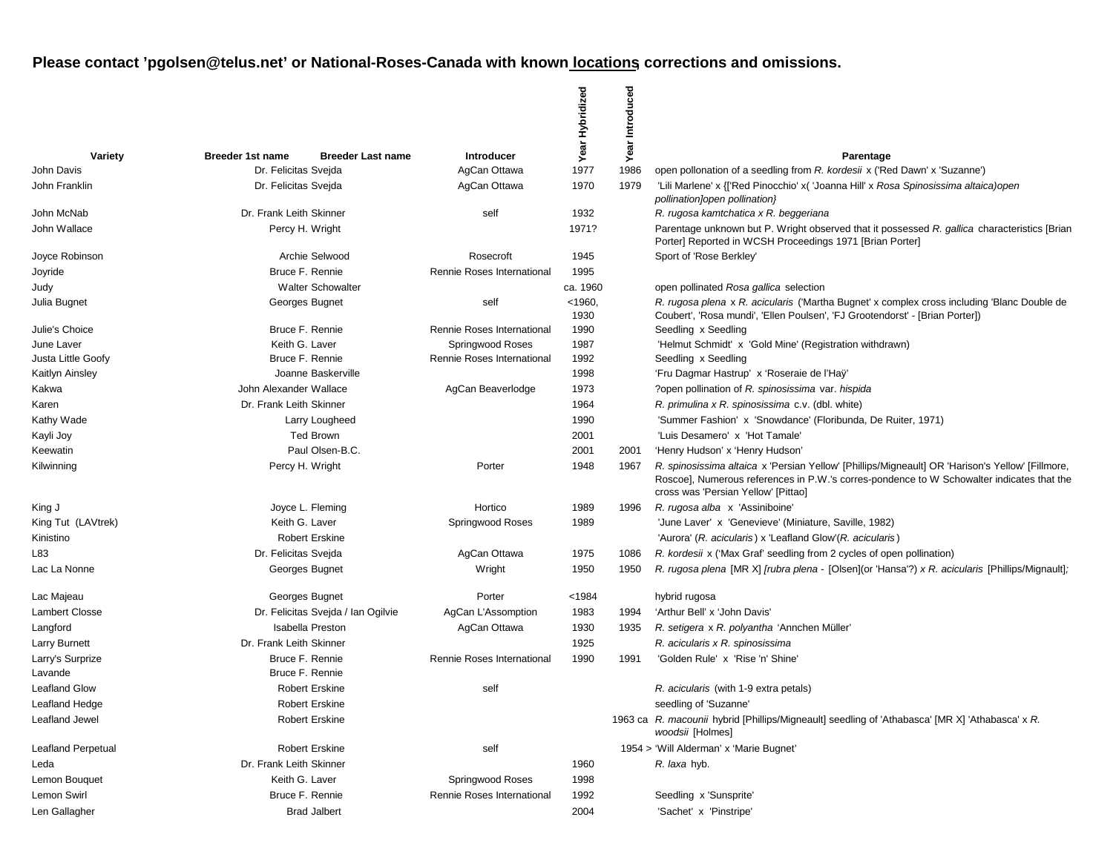|                           |                                                     |                            | Year Hybridized   | Introduced |                                                                                                                                                                                                                                      |
|---------------------------|-----------------------------------------------------|----------------------------|-------------------|------------|--------------------------------------------------------------------------------------------------------------------------------------------------------------------------------------------------------------------------------------|
| Variety                   | <b>Breeder 1st name</b><br><b>Breeder Last name</b> | Introducer                 |                   | Year       | Parentage                                                                                                                                                                                                                            |
| John Davis                | Dr. Felicitas Svejda                                | AgCan Ottawa               | 1977              | 1986       | open pollonation of a seedling from R. kordesii x ('Red Dawn' x 'Suzanne')                                                                                                                                                           |
| John Franklin             | Dr. Felicitas Svejda                                | AgCan Ottawa               | 1970              | 1979       | 'Lili Marlene' x {['Red Pinocchio' x( 'Joanna Hill' x Rosa Spinosissima altaica)open<br>pollination]open pollination}                                                                                                                |
| John McNab                | Dr. Frank Leith Skinner                             | self                       | 1932              |            | R. rugosa kamtchatica x R. beggeriana                                                                                                                                                                                                |
| John Wallace              | Percy H. Wright                                     |                            | 1971?             |            | Parentage unknown but P. Wright observed that it possessed R. gallica characteristics [Brian<br>Porter] Reported in WCSH Proceedings 1971 [Brian Porter]                                                                             |
| Joyce Robinson            | Archie Selwood                                      | Rosecroft                  | 1945              |            | Sport of 'Rose Berkley'                                                                                                                                                                                                              |
| Joyride                   | Bruce F. Rennie                                     | Rennie Roses International | 1995              |            |                                                                                                                                                                                                                                      |
| Judy                      | <b>Walter Schowalter</b>                            |                            | ca. 1960          |            | open pollinated Rosa gallica selection                                                                                                                                                                                               |
| Julia Bugnet              | Georges Bugnet                                      | self                       | $<$ 1960,<br>1930 |            | R. rugosa plena x R. acicularis ('Martha Bugnet' x complex cross including 'Blanc Double de<br>Coubert', 'Rosa mundi', 'Ellen Poulsen', 'FJ Grootendorst' - [Brian Porter])                                                          |
| Julie's Choice            | Bruce F. Rennie                                     | Rennie Roses International | 1990              |            | Seedling x Seedling                                                                                                                                                                                                                  |
| June Laver                | Keith G. Laver                                      | Springwood Roses           | 1987              |            | 'Helmut Schmidt' x 'Gold Mine' (Registration withdrawn)                                                                                                                                                                              |
| Justa Little Goofy        | Bruce F. Rennie                                     | Rennie Roses International | 1992              |            | Seedling x Seedling                                                                                                                                                                                                                  |
| Kaitlyn Ainsley           | Joanne Baskerville                                  |                            | 1998              |            | 'Fru Dagmar Hastrup' x 'Roseraie de l'Haÿ'                                                                                                                                                                                           |
| Kakwa                     | John Alexander Wallace                              | AgCan Beaverlodge          | 1973              |            | ?open pollination of R. spinosissima var. hispida                                                                                                                                                                                    |
| Karen                     | Dr. Frank Leith Skinner                             |                            | 1964              |            | R. primulina x R. spinosissima c.v. (dbl. white)                                                                                                                                                                                     |
| Kathy Wade                | Larry Lougheed                                      |                            | 1990              |            | 'Summer Fashion' x 'Snowdance' (Floribunda, De Ruiter, 1971)                                                                                                                                                                         |
| Kayli Joy                 | <b>Ted Brown</b>                                    |                            | 2001              |            | 'Luis Desamero' x 'Hot Tamale'                                                                                                                                                                                                       |
| Keewatin                  | Paul Olsen-B.C.                                     |                            | 2001              | 2001       | 'Henry Hudson' x 'Henry Hudson'                                                                                                                                                                                                      |
| Kilwinning                | Percy H. Wright                                     | Porter                     | 1948              | 1967       | R. spinosissima altaica x 'Persian Yellow' [Phillips/Migneault] OR 'Harison's Yellow' [Fillmore,<br>Roscoe], Numerous references in P.W.'s corres-pondence to W Schowalter indicates that the<br>cross was 'Persian Yellow' [Pittao] |
| King J                    | Joyce L. Fleming                                    | Hortico                    | 1989              | 1996       | R. rugosa alba x 'Assiniboine'                                                                                                                                                                                                       |
| King Tut (LAVtrek)        | Keith G. Laver                                      | Springwood Roses           | 1989              |            | 'June Laver' x 'Genevieve' (Miniature, Saville, 1982)                                                                                                                                                                                |
| Kinistino                 | <b>Robert Erskine</b>                               |                            |                   |            | 'Aurora' (R. acicularis) x 'Leafland Glow' (R. acicularis)                                                                                                                                                                           |
| L83                       | Dr. Felicitas Svejda                                | AgCan Ottawa               | 1975              | 1086       | R. kordesii x ('Max Graf' seedling from 2 cycles of open pollination)                                                                                                                                                                |
| Lac La Nonne              | Georges Bugnet                                      | Wright                     | 1950              | 1950       | R. rugosa plena [MR X] [rubra plena - [Olsen](or 'Hansa'?) x R. acicularis [Phillips/Mignault];                                                                                                                                      |
| Lac Majeau                | Georges Bugnet                                      | Porter                     | < 1984            |            | hybrid rugosa                                                                                                                                                                                                                        |
| <b>Lambert Closse</b>     | Dr. Felicitas Svejda / Ian Ogilvie                  | AgCan L'Assomption         | 1983              | 1994       | 'Arthur Bell' x 'John Davis'                                                                                                                                                                                                         |
| Langford                  | Isabella Preston                                    | AgCan Ottawa               | 1930              | 1935       | R. setigera x R. polyantha 'Annchen Müller'                                                                                                                                                                                          |
| Larry Burnett             | Dr. Frank Leith Skinner                             |                            | 1925              |            | R. acicularis x R. spinosissima                                                                                                                                                                                                      |
| Larry's Surprize          | Bruce F. Rennie                                     | Rennie Roses International | 1990              | 1991       | 'Golden Rule' x 'Rise 'n' Shine'                                                                                                                                                                                                     |
| Lavande                   | Bruce F. Rennie                                     |                            |                   |            |                                                                                                                                                                                                                                      |
| <b>Leafland Glow</b>      | <b>Robert Erskine</b>                               | self                       |                   |            | R. acicularis (with 1-9 extra petals)                                                                                                                                                                                                |
| Leafland Hedge            | <b>Robert Erskine</b>                               |                            |                   |            | seedling of 'Suzanne'                                                                                                                                                                                                                |
| Leafland Jewel            | <b>Robert Erskine</b>                               |                            |                   |            | 1963 ca R. macounii hybrid [Phillips/Migneault] seedling of 'Athabasca' [MR X] 'Athabasca' x R.<br>woodsii [Holmes]                                                                                                                  |
| <b>Leafland Perpetual</b> | <b>Robert Erskine</b>                               | self                       |                   |            | 1954 > 'Will Alderman' x 'Marie Bugnet'                                                                                                                                                                                              |
| Leda                      | Dr. Frank Leith Skinner                             |                            | 1960              |            | R. laxa hyb.                                                                                                                                                                                                                         |
| Lemon Bouquet             | Keith G. Laver                                      | Springwood Roses           | 1998              |            |                                                                                                                                                                                                                                      |
| Lemon Swirl               | Bruce F. Rennie                                     | Rennie Roses International | 1992              |            | Seedling x 'Sunsprite'                                                                                                                                                                                                               |
| Len Gallagher             | <b>Brad Jalbert</b>                                 |                            | 2004              |            | 'Sachet' x 'Pinstripe'                                                                                                                                                                                                               |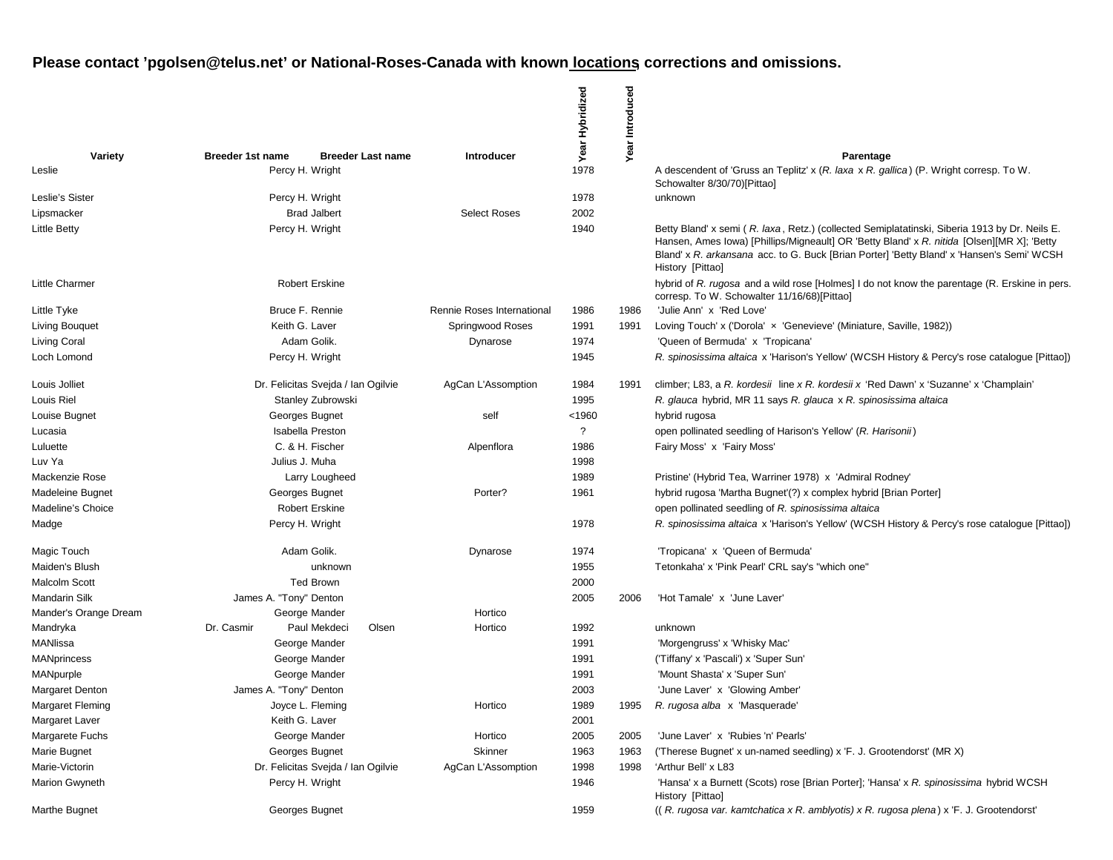|                              |                         |                                    |                            | Year Hybridized | Year Introduced |                                                                                                                                                                                                                                                                                                              |
|------------------------------|-------------------------|------------------------------------|----------------------------|-----------------|-----------------|--------------------------------------------------------------------------------------------------------------------------------------------------------------------------------------------------------------------------------------------------------------------------------------------------------------|
| Variety                      | <b>Breeder 1st name</b> | <b>Breeder Last name</b>           | <b>Introducer</b>          |                 |                 | Parentage                                                                                                                                                                                                                                                                                                    |
| Leslie                       | Percy H. Wright         |                                    |                            | 1978            |                 | A descendent of 'Gruss an Teplitz' x (R. laxa x R. gallica) (P. Wright corresp. To W.<br>Schowalter 8/30/70)[Pittao]                                                                                                                                                                                         |
| Leslie's Sister              | Percy H. Wright         |                                    |                            | 1978            |                 | unknown                                                                                                                                                                                                                                                                                                      |
| Lipsmacker                   |                         | <b>Brad Jalbert</b>                | <b>Select Roses</b>        | 2002            |                 |                                                                                                                                                                                                                                                                                                              |
| <b>Little Betty</b>          |                         | Percy H. Wright                    |                            | 1940            |                 | Betty Bland' x semi (R. laxa, Retz.) (collected Semiplatatinski, Siberia 1913 by Dr. Neils E.<br>Hansen, Ames Iowa) [Phillips/Migneault] OR 'Betty Bland' x R. nitida [Olsen][MR X]; 'Betty<br>Bland' x R. arkansana acc. to G. Buck [Brian Porter] 'Betty Bland' x 'Hansen's Semi' WCSH<br>History [Pittao] |
| <b>Little Charmer</b>        |                         | <b>Robert Erskine</b>              |                            |                 |                 | hybrid of R. rugosa and a wild rose [Holmes] I do not know the parentage (R. Erskine in pers.<br>corresp. To W. Schowalter 11/16/68)[Pittao]                                                                                                                                                                 |
| Little Tyke                  |                         | Bruce F. Rennie                    | Rennie Roses International | 1986            | 1986            | 'Julie Ann' x 'Red Love'                                                                                                                                                                                                                                                                                     |
| Living Bouquet               | Keith G. Laver          |                                    | Springwood Roses           | 1991            | 1991            | Loving Touch' x ('Dorola' x 'Genevieve' (Miniature, Saville, 1982))                                                                                                                                                                                                                                          |
| Living Coral                 |                         | Adam Golik.                        | Dynarose                   | 1974            |                 | 'Queen of Bermuda' x 'Tropicana'                                                                                                                                                                                                                                                                             |
| Loch Lomond                  |                         | Percy H. Wright                    |                            | 1945            |                 | R. spinosissima altaica x 'Harison's Yellow' (WCSH History & Percy's rose cataloque [Pittao])                                                                                                                                                                                                                |
| Louis Jolliet                |                         | Dr. Felicitas Svejda / Ian Ogilvie | AgCan L'Assomption         | 1984            | 1991            | climber; L83, a R. kordesii line x R. kordesii x 'Red Dawn' x 'Suzanne' x 'Champlain'                                                                                                                                                                                                                        |
| Louis Riel                   |                         | Stanley Zubrowski                  |                            | 1995            |                 | R. glauca hybrid, MR 11 says R. glauca x R. spinosissima altaica                                                                                                                                                                                                                                             |
| Louise Bugnet                |                         | Georges Bugnet                     | self                       | <1960           |                 | hybrid rugosa                                                                                                                                                                                                                                                                                                |
| Lucasia                      |                         | <b>Isabella Preston</b>            |                            | ?               |                 | open pollinated seedling of Harison's Yellow' (R. Harisonii)                                                                                                                                                                                                                                                 |
| Luluette                     |                         | C. & H. Fischer                    | Alpenflora                 | 1986            |                 | Fairy Moss' x 'Fairy Moss'                                                                                                                                                                                                                                                                                   |
| Luv Ya                       | Julius J. Muha          |                                    |                            | 1998            |                 |                                                                                                                                                                                                                                                                                                              |
| Mackenzie Rose               |                         | Larry Lougheed                     |                            | 1989            |                 | Pristine' (Hybrid Tea, Warriner 1978) x 'Admiral Rodney'                                                                                                                                                                                                                                                     |
| Madeleine Bugnet             |                         | Georges Bugnet                     | Porter?                    | 1961            |                 | hybrid rugosa 'Martha Bugnet'(?) x complex hybrid [Brian Porter]                                                                                                                                                                                                                                             |
| Madeline's Choice            |                         | <b>Robert Erskine</b>              |                            |                 |                 | open pollinated seedling of R. spinosissima altaica                                                                                                                                                                                                                                                          |
| Madge                        |                         | Percy H. Wright                    |                            | 1978            |                 | R. spinosissima altaica x 'Harison's Yellow' (WCSH History & Percy's rose catalogue [Pittao])                                                                                                                                                                                                                |
| Magic Touch                  |                         | Adam Golik.                        | Dynarose                   | 1974            |                 | 'Tropicana' x 'Queen of Bermuda'                                                                                                                                                                                                                                                                             |
| Maiden's Blush               |                         | unknown                            |                            | 1955            |                 | Tetonkaha' x 'Pink Pearl' CRL say's "which one"                                                                                                                                                                                                                                                              |
| Malcolm Scott                |                         | <b>Ted Brown</b>                   |                            | 2000            |                 |                                                                                                                                                                                                                                                                                                              |
| Mandarin Silk                | James A. "Tony" Denton  |                                    |                            | 2005            | 2006            | 'Hot Tamale' x 'June Laver'                                                                                                                                                                                                                                                                                  |
| Mander's Orange Dream        |                         | George Mander                      | Hortico                    |                 |                 |                                                                                                                                                                                                                                                                                                              |
| Mandryka                     | Dr. Casmir              | Paul Mekdeci<br>Olsen              | Hortico                    | 1992            |                 | unknown                                                                                                                                                                                                                                                                                                      |
| MANIissa                     |                         | George Mander                      |                            | 1991            |                 | 'Morgengruss' x 'Whisky Mac'                                                                                                                                                                                                                                                                                 |
| <b>MANprincess</b>           |                         | George Mander                      |                            | 1991            |                 | ('Tiffany' x 'Pascali') x 'Super Sun'                                                                                                                                                                                                                                                                        |
| MANpurple<br>Margaret Denton |                         | George Mander                      |                            | 1991<br>2003    |                 | 'Mount Shasta' x 'Super Sun'                                                                                                                                                                                                                                                                                 |
| Margaret Fleming             | James A. "Tony" Denton  | Joyce L. Fleming                   | Hortico                    | 1989            | 1995            | 'June Laver' x 'Glowing Amber'<br>R. rugosa alba x 'Masquerade'                                                                                                                                                                                                                                              |
| Margaret Laver               | Keith G. Laver          |                                    |                            | 2001            |                 |                                                                                                                                                                                                                                                                                                              |
| Margarete Fuchs              |                         | George Mander                      | Hortico                    | 2005            | 2005            | 'June Laver' x 'Rubies 'n' Pearls'                                                                                                                                                                                                                                                                           |
| Marie Bugnet                 |                         | Georges Bugnet                     | Skinner                    | 1963            | 1963            | ('Therese Bugnet' x un-named seedling) x 'F. J. Grootendorst' (MR X)                                                                                                                                                                                                                                         |
| Marie-Victorin               |                         | Dr. Felicitas Svejda / Ian Ogilvie | AgCan L'Assomption         | 1998            | 1998            | 'Arthur Bell' x L83                                                                                                                                                                                                                                                                                          |
| Marion Gwyneth               |                         | Percy H. Wright                    |                            | 1946            |                 | 'Hansa' x a Burnett (Scots) rose [Brian Porter]; 'Hansa' x R. spinosissima hybrid WCSH<br>History [Pittao]                                                                                                                                                                                                   |
| Marthe Bugnet                |                         | Georges Bugnet                     |                            | 1959            |                 | ((R. rugosa var. kamtchatica x R. amblyotis) x R. rugosa plena) x F. J. Grootendorst'                                                                                                                                                                                                                        |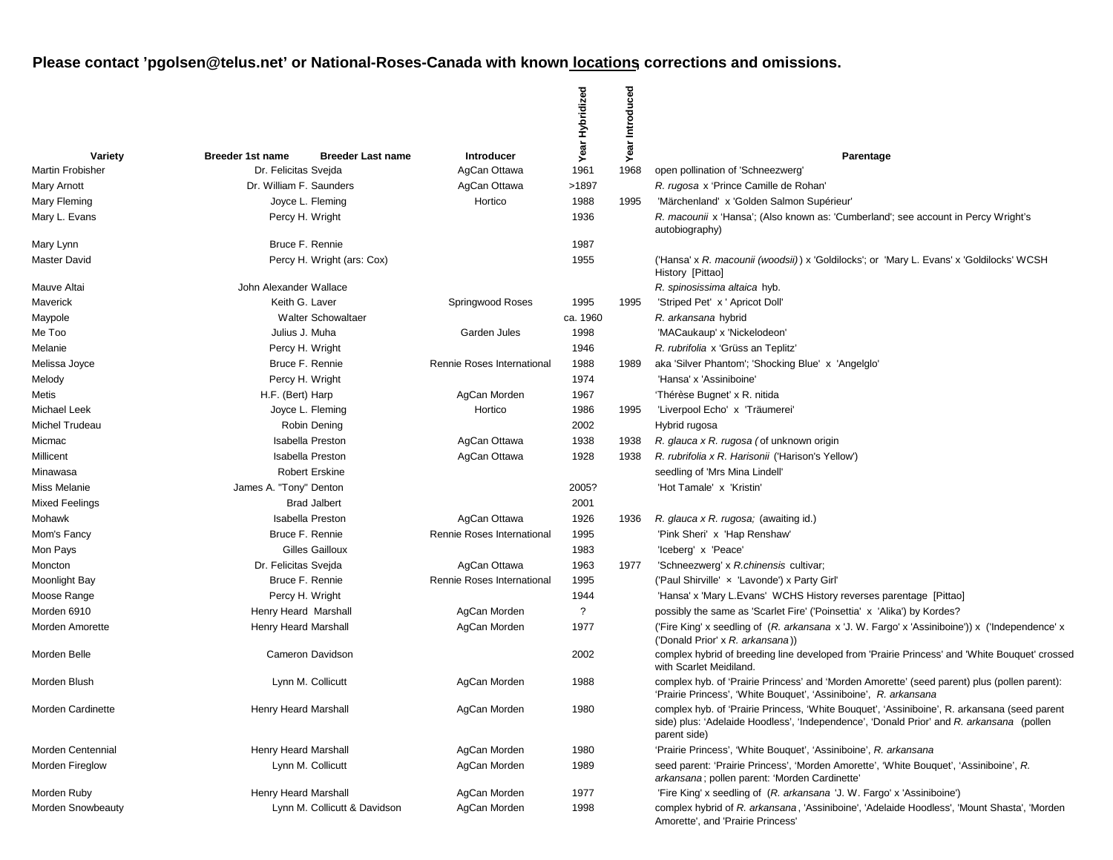|                         |                         |                              |                            | Year Hybridized | Introduced |                                                                                                                                                                                                          |
|-------------------------|-------------------------|------------------------------|----------------------------|-----------------|------------|----------------------------------------------------------------------------------------------------------------------------------------------------------------------------------------------------------|
| Variety                 | <b>Breeder 1st name</b> | <b>Breeder Last name</b>     | <b>Introducer</b>          |                 | Year       | Parentage                                                                                                                                                                                                |
| <b>Martin Frobisher</b> | Dr. Felicitas Svejda    |                              | AgCan Ottawa               | 1961            | 1968       | open pollination of 'Schneezwerg'                                                                                                                                                                        |
| <b>Mary Arnott</b>      | Dr. William F. Saunders |                              | AgCan Ottawa               | >1897           |            | R. rugosa x 'Prince Camille de Rohan'                                                                                                                                                                    |
| Mary Fleming            |                         | Joyce L. Fleming             | Hortico                    | 1988            | 1995       | 'Märchenland' x 'Golden Salmon Supérieur'                                                                                                                                                                |
| Mary L. Evans           |                         | Percy H. Wright              |                            | 1936            |            | R. macounii x 'Hansa'; (Also known as: 'Cumberland'; see account in Percy Wright's<br>autobiography)                                                                                                     |
| Mary Lynn               |                         | Bruce F. Rennie              |                            | 1987            |            |                                                                                                                                                                                                          |
| <b>Master David</b>     |                         | Percy H. Wright (ars: Cox)   |                            | 1955            |            | ('Hansa' x R. macounii (woodsii)) x 'Goldilocks'; or 'Mary L. Evans' x 'Goldilocks' WCSH<br>History [Pittao]                                                                                             |
| Mauve Altai             | John Alexander Wallace  |                              |                            |                 |            | R. spinosissima altaica hyb.                                                                                                                                                                             |
| Maverick                | Keith G. Laver          |                              | Springwood Roses           | 1995            | 1995       | 'Striped Pet' x ' Apricot Doll'                                                                                                                                                                          |
| Maypole                 |                         | <b>Walter Schowaltaer</b>    |                            | ca. 1960        |            | R. arkansana hybrid                                                                                                                                                                                      |
| Me Too                  | Julius J. Muha          |                              | Garden Jules               | 1998            |            | 'MACaukaup' x 'Nickelodeon'                                                                                                                                                                              |
| Melanie                 |                         | Percy H. Wright              |                            | 1946            |            | R. rubrifolia x 'Grüss an Teplitz'                                                                                                                                                                       |
| Melissa Joyce           |                         | Bruce F. Rennie              | Rennie Roses International | 1988            | 1989       | aka 'Silver Phantom', 'Shocking Blue' x 'Angelglo'                                                                                                                                                       |
| Melody                  | Percy H. Wright         |                              |                            | 1974            |            | 'Hansa' x 'Assiniboine'                                                                                                                                                                                  |
| Metis                   | H.F. (Bert) Harp        |                              | AgCan Morden               | 1967            |            | 'Thérèse Bugnet' x R. nitida                                                                                                                                                                             |
| <b>Michael Leek</b>     |                         | Joyce L. Fleming             | Hortico                    | 1986            | 1995       | 'Liverpool Echo' x 'Träumerei'                                                                                                                                                                           |
| Michel Trudeau          |                         | Robin Dening                 |                            | 2002            |            | Hybrid rugosa                                                                                                                                                                                            |
| Micmac                  |                         | <b>Isabella Preston</b>      | AgCan Ottawa               | 1938            | 1938       | R. glauca x R. rugosa (of unknown origin                                                                                                                                                                 |
| Millicent               |                         | <b>Isabella Preston</b>      | AgCan Ottawa               | 1928            | 1938       | R. rubrifolia x R. Harisonii ('Harison's Yellow')                                                                                                                                                        |
| Minawasa                |                         | <b>Robert Erskine</b>        |                            |                 |            | seedling of 'Mrs Mina Lindell'                                                                                                                                                                           |
| Miss Melanie            | James A. "Tony" Denton  |                              |                            | 2005?           |            | 'Hot Tamale' x 'Kristin'                                                                                                                                                                                 |
| <b>Mixed Feelings</b>   |                         | <b>Brad Jalbert</b>          |                            | 2001            |            |                                                                                                                                                                                                          |
| Mohawk                  |                         | <b>Isabella Preston</b>      | AgCan Ottawa               | 1926            | 1936       | R. glauca x R. rugosa; (awaiting id.)                                                                                                                                                                    |
| Mom's Fancy             |                         | Bruce F. Rennie              | Rennie Roses International | 1995            |            | 'Pink Sheri' x 'Hap Renshaw'                                                                                                                                                                             |
| Mon Pays                |                         | Gilles Gailloux              |                            | 1983            |            | 'Iceberg' x 'Peace'                                                                                                                                                                                      |
| Moncton                 | Dr. Felicitas Svejda    |                              | AgCan Ottawa               | 1963            | 1977       | 'Schneezwerg' x R.chinensis cultivar;                                                                                                                                                                    |
| Moonlight Bay           |                         | Bruce F. Rennie              | Rennie Roses International | 1995            |            | ('Paul Shirville' x 'Lavonde') x Party Girl'                                                                                                                                                             |
| Moose Range             | Percy H. Wright         |                              |                            | 1944            |            | 'Hansa' x 'Mary L. Evans' WCHS History reverses parentage [Pittao]                                                                                                                                       |
| Morden 6910             | Henry Heard Marshall    |                              | AgCan Morden               | ?               |            | possibly the same as 'Scarlet Fire' ('Poinsettia' x 'Alika') by Kordes?                                                                                                                                  |
| Morden Amorette         | Henry Heard Marshall    |                              | AgCan Morden               | 1977            |            | ('Fire King' x seedling of (R. arkansana x 'J. W. Fargo' x 'Assiniboine')) x ('Independence' x<br>('Donald Prior' x R. arkansana))                                                                       |
| Morden Belle            |                         | Cameron Davidson             |                            | 2002            |            | complex hybrid of breeding line developed from 'Prairie Princess' and 'White Bouquet' crossed<br>with Scarlet Meidiland.                                                                                 |
| Morden Blush            |                         | Lynn M. Collicutt            | AgCan Morden               | 1988            |            | complex hyb. of 'Prairie Princess' and 'Morden Amorette' (seed parent) plus (pollen parent):<br>'Prairie Princess', 'White Bouquet', 'Assiniboine', R. arkansana                                         |
| Morden Cardinette       | Henry Heard Marshall    |                              | AgCan Morden               | 1980            |            | complex hyb. of 'Prairie Princess, 'White Bouquet', 'Assiniboine', R. arkansana (seed parent<br>side) plus: 'Adelaide Hoodless', 'Independence', 'Donald Prior' and R. arkansana (pollen<br>parent side) |
| Morden Centennial       | Henry Heard Marshall    |                              | AgCan Morden               | 1980            |            | 'Prairie Princess', 'White Bouquet', 'Assiniboine', R. arkansana                                                                                                                                         |
| <b>Morden Fireglow</b>  |                         | Lynn M. Collicutt            | AgCan Morden               | 1989            |            | seed parent: 'Prairie Princess', 'Morden Amorette', 'White Bouquet', 'Assiniboine', R.<br>arkansana; pollen parent: 'Morden Cardinette'                                                                  |
| Morden Ruby             | Henry Heard Marshall    |                              | AgCan Morden               | 1977            |            | 'Fire King' x seedling of (R. arkansana 'J. W. Fargo' x 'Assiniboine')                                                                                                                                   |
| Morden Snowbeauty       |                         | Lynn M. Collicutt & Davidson | AgCan Morden               | 1998            |            | complex hybrid of R. arkansana, 'Assiniboine', 'Adelaide Hoodless', 'Mount Shasta', 'Morden<br>Amorette', and 'Prairie Princess'                                                                         |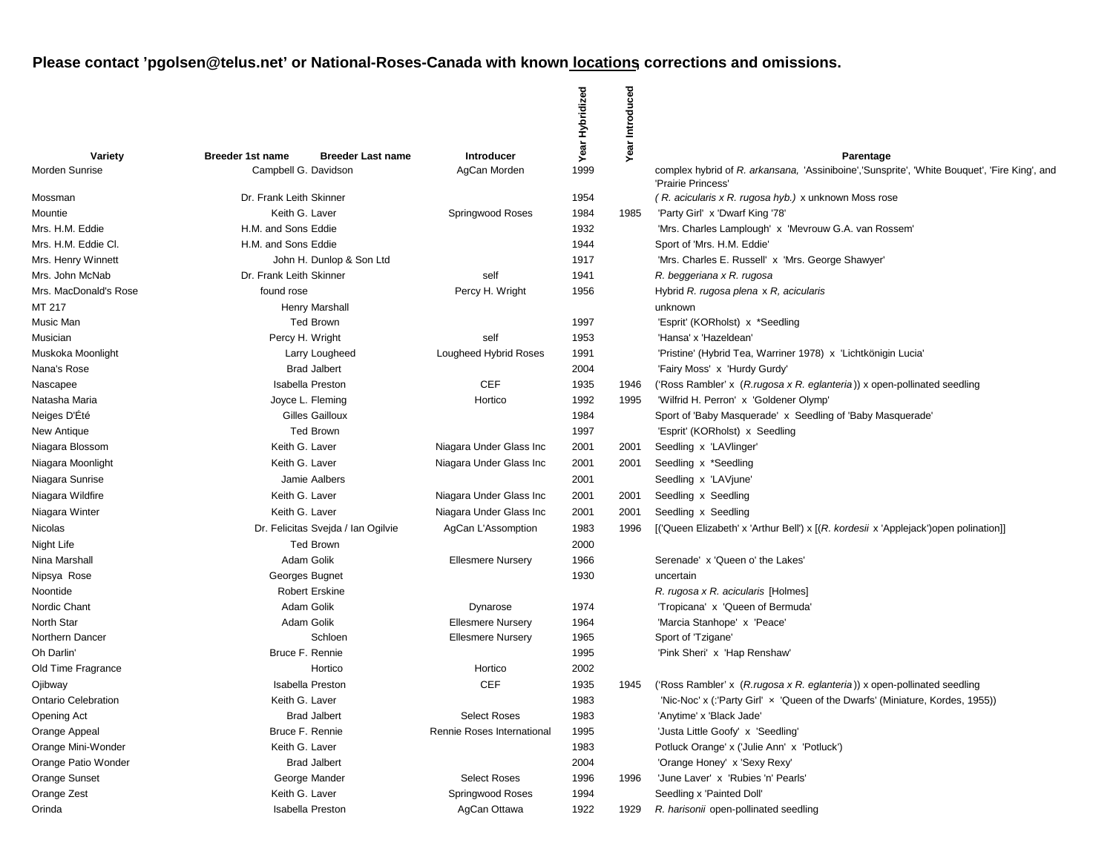|                            |                         |                                    |                            | Year Hybridized | Year Introduced |                                                                                                                                 |
|----------------------------|-------------------------|------------------------------------|----------------------------|-----------------|-----------------|---------------------------------------------------------------------------------------------------------------------------------|
| Variety                    | <b>Breeder 1st name</b> | <b>Breeder Last name</b>           | Introducer                 |                 |                 |                                                                                                                                 |
| Morden Sunrise             | Campbell G. Davidson    |                                    | AgCan Morden               | 1999            |                 | Parentage<br>complex hybrid of R. arkansana, 'Assiniboine','Sunsprite', 'White Bouquet', 'Fire King', and<br>'Prairie Princess' |
| Mossman                    | Dr. Frank Leith Skinner |                                    |                            | 1954            |                 | (R. acicularis x R. rugosa hyb.) x unknown Moss rose                                                                            |
| Mountie                    | Keith G. Laver          |                                    | Springwood Roses           | 1984            | 1985            | 'Party Girl' x 'Dwarf King '78'                                                                                                 |
| Mrs. H.M. Eddie            | H.M. and Sons Eddie     |                                    |                            | 1932            |                 | 'Mrs. Charles Lamplough' x 'Mevrouw G.A. van Rossem'                                                                            |
| Mrs. H.M. Eddie Cl.        | H.M. and Sons Eddie     |                                    |                            | 1944            |                 | Sport of 'Mrs. H.M. Eddie'                                                                                                      |
| Mrs. Henry Winnett         |                         | John H. Dunlop & Son Ltd           |                            | 1917            |                 | 'Mrs. Charles E. Russell' x 'Mrs. George Shawyer'                                                                               |
| Mrs. John McNab            | Dr. Frank Leith Skinner |                                    | self                       | 1941            |                 | R. beggeriana x R. rugosa                                                                                                       |
| Mrs. MacDonald's Rose      | found rose              |                                    | Percy H. Wright            | 1956            |                 | Hybrid R. rugosa plena x R, acicularis                                                                                          |
| MT 217                     |                         | Henry Marshall                     |                            |                 |                 | unknown                                                                                                                         |
| Music Man                  |                         | <b>Ted Brown</b>                   |                            | 1997            |                 | 'Esprit' (KORholst) x *Seedling                                                                                                 |
| Musician                   | Percy H. Wright         |                                    | self                       | 1953            |                 | 'Hansa' x 'Hazeldean'                                                                                                           |
| Muskoka Moonlight          |                         | Larry Lougheed                     | Lougheed Hybrid Roses      | 1991            |                 | 'Pristine' (Hybrid Tea, Warriner 1978) x 'Lichtkönigin Lucia'                                                                   |
| Nana's Rose                |                         | <b>Brad Jalbert</b>                |                            | 2004            |                 | 'Fairy Moss' x 'Hurdy Gurdy'                                                                                                    |
| Nascapee                   |                         | <b>Isabella Preston</b>            | <b>CEF</b>                 | 1935            | 1946            | ('Ross Rambler' x (R. rugosa x R. eglanteria)) x open-pollinated seedling                                                       |
| Natasha Maria              |                         | Joyce L. Fleming                   | Hortico                    | 1992            | 1995            | 'Wilfrid H. Perron' x 'Goldener Olymp'                                                                                          |
| Neiges D'Été               |                         | Gilles Gailloux                    |                            | 1984            |                 | Sport of 'Baby Masquerade' x Seedling of 'Baby Masquerade'                                                                      |
| New Antique                |                         | <b>Ted Brown</b>                   |                            | 1997            |                 | 'Esprit' (KORholst) x Seedling                                                                                                  |
| Niagara Blossom            | Keith G. Laver          |                                    | Niagara Under Glass Inc    | 2001            | 2001            | Seedling x 'LAVlinger'                                                                                                          |
| Niagara Moonlight          | Keith G. Laver          |                                    | Niagara Under Glass Inc    | 2001            | 2001            | Seedling x *Seedling                                                                                                            |
| Niagara Sunrise            |                         | Jamie Aalbers                      |                            | 2001            |                 | Seedling x 'LAVjune'                                                                                                            |
| Niagara Wildfire           | Keith G. Laver          |                                    | Niagara Under Glass Inc    | 2001            | 2001            | Seedling x Seedling                                                                                                             |
| Niagara Winter             | Keith G. Laver          |                                    | Niagara Under Glass Inc    | 2001            | 2001            | Seedling x Seedling                                                                                                             |
| Nicolas                    |                         | Dr. Felicitas Svejda / Ian Ogilvie | AgCan L'Assomption         | 1983            | 1996            | [('Queen Elizabeth' x 'Arthur Bell') x [(R. kordesii x 'Applejack') open polination]]                                           |
| Night Life                 |                         | <b>Ted Brown</b>                   |                            | 2000            |                 |                                                                                                                                 |
| Nina Marshall              |                         | Adam Golik                         | <b>Ellesmere Nursery</b>   | 1966            |                 | Serenade' x 'Queen o' the Lakes'                                                                                                |
| Nipsya Rose                | Georges Bugnet          |                                    |                            | 1930            |                 | uncertain                                                                                                                       |
| Noontide                   |                         | <b>Robert Erskine</b>              |                            |                 |                 | R. rugosa x R. acicularis [Holmes]                                                                                              |
| Nordic Chant               |                         | Adam Golik                         | Dynarose                   | 1974            |                 | 'Tropicana' x 'Queen of Bermuda'                                                                                                |
| North Star                 | Adam Golik              |                                    | <b>Ellesmere Nursery</b>   | 1964            |                 | 'Marcia Stanhope' x 'Peace'                                                                                                     |
| Northern Dancer            |                         | Schloen                            | <b>Ellesmere Nursery</b>   | 1965            |                 | Sport of 'Tzigane'                                                                                                              |
| Oh Darlin'                 | Bruce F. Rennie         |                                    |                            | 1995            |                 | 'Pink Sheri' x 'Hap Renshaw'                                                                                                    |
| Old Time Fragrance         |                         | Hortico                            | Hortico                    | 2002            |                 |                                                                                                                                 |
| Ojibway                    |                         | <b>Isabella Preston</b>            | <b>CEF</b>                 | 1935            | 1945            | ('Ross Rambler' x (R.rugosa x R. eglanteria)) x open-pollinated seedling                                                        |
| <b>Ontario Celebration</b> | Keith G. Laver          |                                    |                            | 1983            |                 | 'Nic-Noc' x (:'Party Girl' x 'Queen of the Dwarfs' (Miniature, Kordes, 1955))                                                   |
| Opening Act                |                         | <b>Brad Jalbert</b>                | Select Roses               | 1983            |                 | 'Anytime' x 'Black Jade'                                                                                                        |
| Orange Appeal              | Bruce F. Rennie         |                                    | Rennie Roses International | 1995            |                 | 'Justa Little Goofy' x 'Seedling'                                                                                               |
| Orange Mini-Wonder         | Keith G. Laver          |                                    |                            | 1983            |                 | Potluck Orange' x ('Julie Ann' x 'Potluck')                                                                                     |
| Orange Patio Wonder        |                         | <b>Brad Jalbert</b>                |                            | 2004            |                 | 'Orange Honey' x 'Sexy Rexy'                                                                                                    |
| Orange Sunset              |                         | George Mander                      | <b>Select Roses</b>        | 1996            | 1996            | 'June Laver' x 'Rubies 'n' Pearls'                                                                                              |
| Orange Zest                | Keith G. Laver          |                                    | Springwood Roses           | 1994            |                 | Seedling x 'Painted Doll'                                                                                                       |
| Orinda                     |                         | <b>Isabella Preston</b>            | AgCan Ottawa               | 1922            | 1929            | R. harisonii open-pollinated seedling                                                                                           |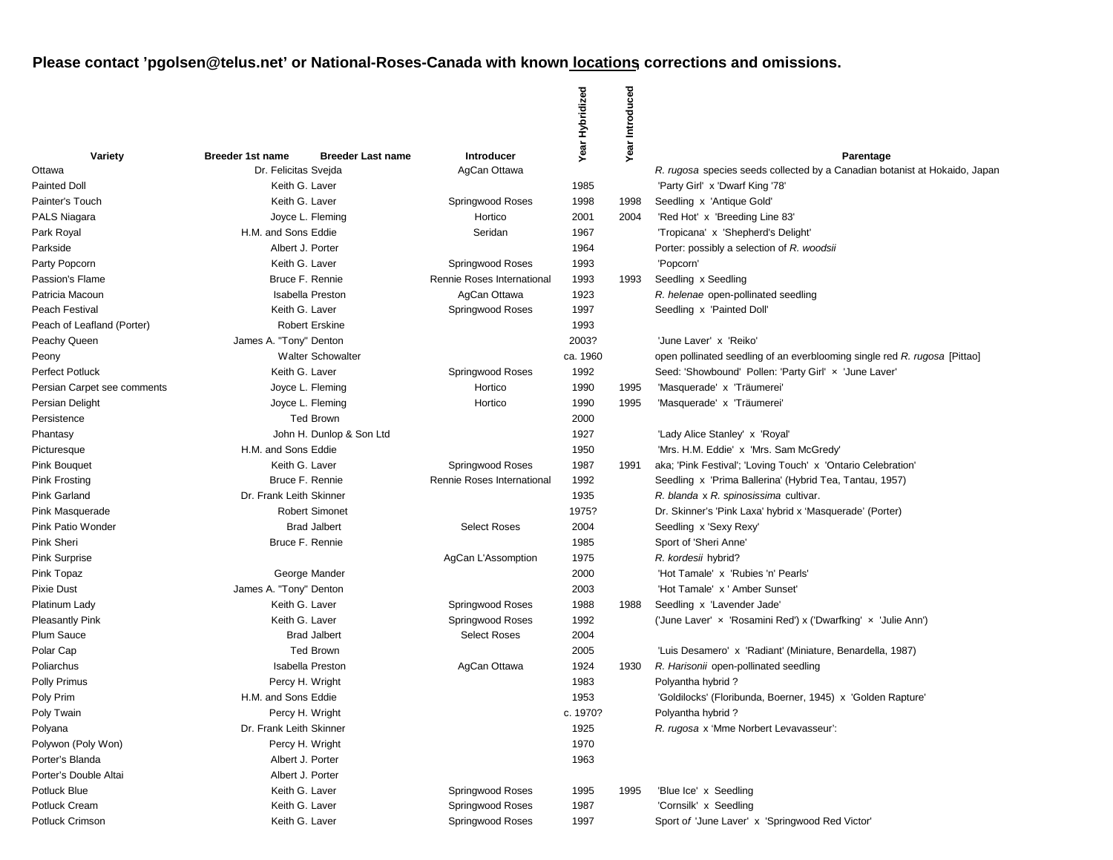|                             |                         |                          |                            | Year Hybridized | Year Introduced |                                                                            |
|-----------------------------|-------------------------|--------------------------|----------------------------|-----------------|-----------------|----------------------------------------------------------------------------|
| Variety                     | <b>Breeder 1st name</b> | <b>Breeder Last name</b> | <b>Introducer</b>          |                 |                 | Parentage                                                                  |
| Ottawa                      | Dr. Felicitas Sveida    |                          | AgCan Ottawa               |                 |                 | R. rugosa species seeds collected by a Canadian botanist at Hokaido, Japan |
| <b>Painted Doll</b>         | Keith G. Laver          |                          |                            | 1985            |                 | 'Party Girl' x 'Dwarf King '78'                                            |
| Painter's Touch             | Keith G. Laver          |                          | Springwood Roses           | 1998            | 1998            | Seedling x 'Antique Gold'                                                  |
| PALS Niagara                |                         | Joyce L. Fleming         | Hortico                    | 2001            | 2004            | 'Red Hot' x 'Breeding Line 83'                                             |
| Park Royal                  | H.M. and Sons Eddie     |                          | Seridan                    | 1967            |                 | 'Tropicana' x 'Shepherd's Delight'                                         |
| Parkside                    | Albert J. Porter        |                          |                            | 1964            |                 | Porter: possibly a selection of R. woodsii                                 |
| Party Popcorn               | Keith G. Laver          |                          | Springwood Roses           | 1993            |                 | 'Popcorn'                                                                  |
| Passion's Flame             |                         | Bruce F. Rennie          | Rennie Roses International | 1993            | 1993            | Seedling x Seedling                                                        |
| Patricia Macoun             |                         | <b>Isabella Preston</b>  | AgCan Ottawa               | 1923            |                 | R. helenae open-pollinated seedling                                        |
| Peach Festival              | Keith G. Laver          |                          | Springwood Roses           | 1997            |                 | Seedling x 'Painted Doll'                                                  |
| Peach of Leafland (Porter)  |                         | <b>Robert Erskine</b>    |                            | 1993            |                 |                                                                            |
| Peachy Queen                | James A. "Tony" Denton  |                          |                            | 2003?           |                 | 'June Laver' x 'Reiko'                                                     |
| Peony                       |                         | <b>Walter Schowalter</b> |                            | ca. 1960        |                 | open pollinated seedling of an everblooming single red R. rugosa [Pittao]  |
| <b>Perfect Potluck</b>      | Keith G. Laver          |                          | Springwood Roses           | 1992            |                 | Seed: 'Showbound' Pollen: 'Party Girl' x 'June Laver'                      |
| Persian Carpet see comments |                         | Joyce L. Fleming         | Hortico                    | 1990            | 1995            | 'Masquerade' x 'Träumerei'                                                 |
| Persian Delight             |                         | Joyce L. Fleming         | Hortico                    | 1990            | 1995            | 'Masquerade' x 'Träumerei'                                                 |
| Persistence                 |                         | <b>Ted Brown</b>         |                            | 2000            |                 |                                                                            |
| Phantasy                    |                         | John H. Dunlop & Son Ltd |                            | 1927            |                 | 'Lady Alice Stanley' x 'Royal'                                             |
| Picturesque                 | H.M. and Sons Eddie     |                          |                            | 1950            |                 | 'Mrs. H.M. Eddie' x 'Mrs. Sam McGredy'                                     |
| <b>Pink Bouquet</b>         | Keith G. Laver          |                          | Springwood Roses           | 1987            | 1991            | aka; 'Pink Festival'; 'Loving Touch' x 'Ontario Celebration'               |
| <b>Pink Frosting</b>        |                         | Bruce F. Rennie          | Rennie Roses International | 1992            |                 | Seedling x 'Prima Ballerina' (Hybrid Tea, Tantau, 1957)                    |
| Pink Garland                | Dr. Frank Leith Skinner |                          |                            | 1935            |                 | R. blanda x R. spinosissima cultivar.                                      |
| Pink Masquerade             |                         | <b>Robert Simonet</b>    |                            | 1975?           |                 | Dr. Skinner's 'Pink Laxa' hybrid x 'Masquerade' (Porter)                   |
| Pink Patio Wonder           |                         | <b>Brad Jalbert</b>      | <b>Select Roses</b>        | 2004            |                 | Seedling x 'Sexy Rexy'                                                     |
| Pink Sheri                  |                         | Bruce F. Rennie          |                            | 1985            |                 | Sport of 'Sheri Anne'                                                      |
| <b>Pink Surprise</b>        |                         |                          | AgCan L'Assomption         | 1975            |                 | R. kordesii hybrid?                                                        |
| Pink Topaz                  |                         | George Mander            |                            | 2000            |                 | 'Hot Tamale' x 'Rubies 'n' Pearls'                                         |
| <b>Pixie Dust</b>           | James A. "Tony" Denton  |                          |                            | 2003            |                 | 'Hot Tamale' x ' Amber Sunset'                                             |
| Platinum Lady               | Keith G. Laver          |                          | Springwood Roses           | 1988            | 1988            | Seedling x 'Lavender Jade'                                                 |
| <b>Pleasantly Pink</b>      | Keith G. Laver          |                          | Springwood Roses           | 1992            |                 | ('June Laver' x 'Rosamini Red') x ('Dwarfking' x 'Julie Ann')              |
| <b>Plum Sauce</b>           |                         | <b>Brad Jalbert</b>      | <b>Select Roses</b>        | 2004            |                 |                                                                            |
| Polar Cap                   |                         | <b>Ted Brown</b>         |                            | 2005            |                 | 'Luis Desamero' x 'Radiant' (Miniature, Benardella, 1987)                  |
| Poliarchus                  |                         | <b>Isabella Preston</b>  | AgCan Ottawa               | 1924            | 1930            | R. Harisonii open-pollinated seedling                                      |
| <b>Polly Primus</b>         | Percy H. Wright         |                          |                            | 1983            |                 | Polyantha hybrid?                                                          |
| Poly Prim                   | H.M. and Sons Eddie     |                          |                            | 1953            |                 | 'Goldilocks' (Floribunda, Boerner, 1945) x 'Golden Rapture'                |
| Poly Twain                  | Percy H. Wright         |                          |                            | c. 1970?        |                 | Polyantha hybrid?                                                          |
| Polyana                     | Dr. Frank Leith Skinner |                          |                            | 1925            |                 | R. rugosa x 'Mme Norbert Levavasseur':                                     |
| Polywon (Poly Won)          |                         | Percy H. Wright          |                            | 1970            |                 |                                                                            |
| Porter's Blanda             | Albert J. Porter        |                          |                            | 1963            |                 |                                                                            |
| Porter's Double Altai       | Albert J. Porter        |                          |                            |                 |                 |                                                                            |
| Potluck Blue                | Keith G. Laver          |                          | Springwood Roses           | 1995            | 1995            | 'Blue Ice' x Seedling                                                      |
| Potluck Cream               | Keith G. Laver          |                          | Springwood Roses           | 1987            |                 | 'Cornsilk' x Seedling                                                      |
| Potluck Crimson             | Keith G. Laver          |                          | Springwood Roses           | 1997            |                 | Sport of 'June Laver' x 'Springwood Red Victor'                            |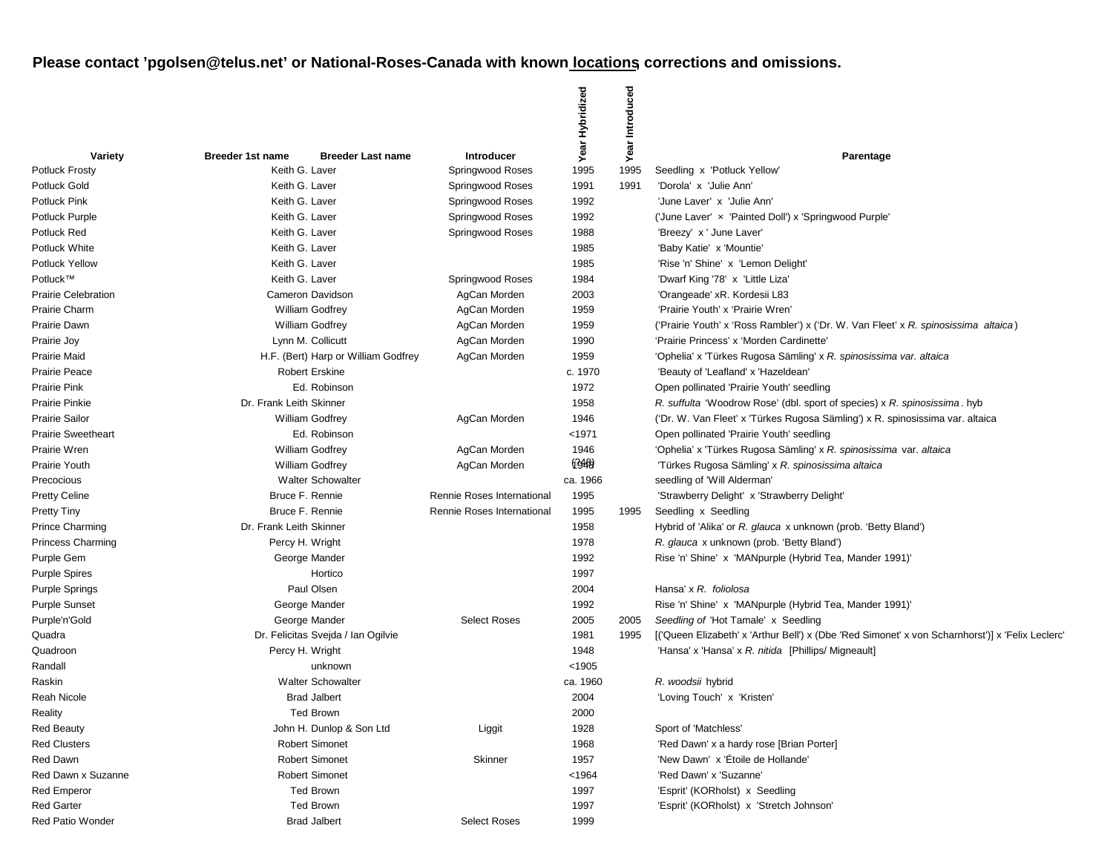|                            |                                                     |                            | Year Hybridized | Introduced |                                                                                                 |
|----------------------------|-----------------------------------------------------|----------------------------|-----------------|------------|-------------------------------------------------------------------------------------------------|
| Variety                    | <b>Breeder 1st name</b><br><b>Breeder Last name</b> | <b>Introducer</b>          |                 | Year       | Parentage                                                                                       |
| <b>Potluck Frosty</b>      | Keith G. Laver                                      | Springwood Roses           | 1995            | 1995       | Seedling x 'Potluck Yellow'                                                                     |
| Potluck Gold               | Keith G. Laver                                      | Springwood Roses           | 1991            | 1991       | 'Dorola' x 'Julie Ann'                                                                          |
| Potluck Pink               | Keith G. Laver                                      | Springwood Roses           | 1992            |            | 'June Laver' x 'Julie Ann'                                                                      |
| Potluck Purple             | Keith G. Laver                                      | Springwood Roses           | 1992            |            | ('June Laver' x 'Painted Doll') x 'Springwood Purple'                                           |
| Potluck Red                | Keith G. Laver                                      | Springwood Roses           | 1988            |            | 'Breezy' x ' June Laver'                                                                        |
| Potluck White              | Keith G. Laver                                      |                            | 1985            |            | 'Baby Katie' x 'Mountie'                                                                        |
| <b>Potluck Yellow</b>      | Keith G. Laver                                      |                            | 1985            |            | 'Rise 'n' Shine' x 'Lemon Delight'                                                              |
| Potluck™                   | Keith G. Laver                                      | Springwood Roses           | 1984            |            | 'Dwarf King '78' x 'Little Liza'                                                                |
| <b>Prairie Celebration</b> | Cameron Davidson                                    | AgCan Morden               | 2003            |            | 'Orangeade' xR. Kordesii L83                                                                    |
| Prairie Charm              | <b>William Godfrey</b>                              | AgCan Morden               | 1959            |            | 'Prairie Youth' x 'Prairie Wren'                                                                |
| Prairie Dawn               | <b>William Godfrey</b>                              | AgCan Morden               | 1959            |            | ('Prairie Youth' x 'Ross Rambler') x ('Dr. W. Van Fleet' x R. spinosissima altaica)             |
| Prairie Joy                | Lynn M. Collicutt                                   | AgCan Morden               | 1990            |            | 'Prairie Princess' x 'Morden Cardinette'                                                        |
| <b>Prairie Maid</b>        | H.F. (Bert) Harp or William Godfrey                 | AgCan Morden               | 1959            |            | 'Ophelia' x 'Türkes Rugosa Sämling' x R. spinosissima var. altaica                              |
| <b>Prairie Peace</b>       | <b>Robert Erskine</b>                               |                            | c. 1970         |            | 'Beauty of 'Leafland' x 'Hazeldean'                                                             |
| Prairie Pink               | Ed. Robinson                                        |                            | 1972            |            | Open pollinated 'Prairie Youth' seedling                                                        |
| <b>Prairie Pinkie</b>      | Dr. Frank Leith Skinner                             |                            | 1958            |            | R. suffulta 'Woodrow Rose' (dbl. sport of species) x R. spinosissima. hyb                       |
| <b>Prairie Sailor</b>      | <b>William Godfrey</b>                              | AgCan Morden               | 1946            |            | ('Dr. W. Van Fleet' x 'Türkes Rugosa Sämling') x R. spinosissima var. altaica                   |
| <b>Prairie Sweetheart</b>  | Ed. Robinson                                        |                            | $1971$          |            | Open pollinated 'Prairie Youth' seedling                                                        |
| Prairie Wren               | William Godfrey                                     | AgCan Morden               | 1946            |            | 'Ophelia' x 'Türkes Rugosa Sämling' x R. spinosissima var. altaica                              |
| Prairie Youth              | <b>William Godfrey</b>                              | AgCan Morden               | (348)           |            | 'Türkes Rugosa Sämling' x R. spinosissima altaica                                               |
| Precocious                 | <b>Walter Schowalter</b>                            |                            | ca. 1966        |            | seedling of 'Will Alderman'                                                                     |
| <b>Pretty Celine</b>       | Bruce F. Rennie                                     | Rennie Roses International | 1995            |            | 'Strawberry Delight' x 'Strawberry Delight'                                                     |
| <b>Pretty Tiny</b>         | Bruce F. Rennie                                     | Rennie Roses International | 1995            | 1995       | Seedling x Seedling                                                                             |
| <b>Prince Charming</b>     | Dr. Frank Leith Skinner                             |                            | 1958            |            | Hybrid of 'Alika' or R. glauca x unknown (prob. 'Betty Bland')                                  |
| <b>Princess Charming</b>   | Percy H. Wright                                     |                            | 1978            |            | R. glauca x unknown (prob. 'Betty Bland')                                                       |
| Purple Gem                 | George Mander                                       |                            | 1992            |            | Rise 'n' Shine' x 'MANpurple (Hybrid Tea, Mander 1991)'                                         |
| <b>Purple Spires</b>       | Hortico                                             |                            | 1997            |            |                                                                                                 |
| <b>Purple Springs</b>      | Paul Olsen                                          |                            | 2004            |            | Hansa' x R. foliolosa                                                                           |
| <b>Purple Sunset</b>       | George Mander                                       |                            | 1992            |            | Rise 'n' Shine' x 'MANpurple (Hybrid Tea, Mander 1991)'                                         |
| Purple'n'Gold              | George Mander                                       | <b>Select Roses</b>        | 2005            | 2005       | Seedling of 'Hot Tamale' x Seedling                                                             |
| Quadra                     | Dr. Felicitas Svejda / Ian Ogilvie                  |                            | 1981            | 1995       | [('Queen Elizabeth' x 'Arthur Bell') x (Dbe 'Red Simonet' x von Scharnhorst')] x 'Felix Leclerc |
| Quadroon                   | Percy H. Wright                                     |                            | 1948            |            | 'Hansa' x 'Hansa' x R. nitida [Phillips/ Migneault]                                             |
| Randall                    | unknown                                             |                            | < 1905          |            |                                                                                                 |
| Raskin                     | <b>Walter Schowalter</b>                            |                            | ca. 1960        |            | R. woodsii hybrid                                                                               |
| Reah Nicole                | <b>Brad Jalbert</b>                                 |                            | 2004            |            | 'Loving Touch' x 'Kristen'                                                                      |
| Reality                    | Ted Brown                                           |                            | 2000            |            |                                                                                                 |
| <b>Red Beauty</b>          | John H. Dunlop & Son Ltd                            | Liggit                     | 1928            |            | Sport of 'Matchless'                                                                            |
| <b>Red Clusters</b>        | <b>Robert Simonet</b>                               |                            | 1968            |            | 'Red Dawn' x a hardy rose [Brian Porter]                                                        |
| Red Dawn                   | <b>Robert Simonet</b>                               | Skinner                    | 1957            |            | 'New Dawn' x 'Étoile de Hollande'                                                               |
| Red Dawn x Suzanne         | <b>Robert Simonet</b>                               |                            | < 1964          |            | 'Red Dawn' x 'Suzanne'                                                                          |
| <b>Red Emperor</b>         | <b>Ted Brown</b>                                    |                            | 1997            |            | 'Esprit' (KORholst) x Seedling                                                                  |
| <b>Red Garter</b>          | <b>Ted Brown</b>                                    |                            | 1997            |            | 'Esprit' (KORholst) x 'Stretch Johnson'                                                         |
| Red Patio Wonder           | <b>Brad Jalbert</b>                                 | <b>Select Roses</b>        | 1999            |            |                                                                                                 |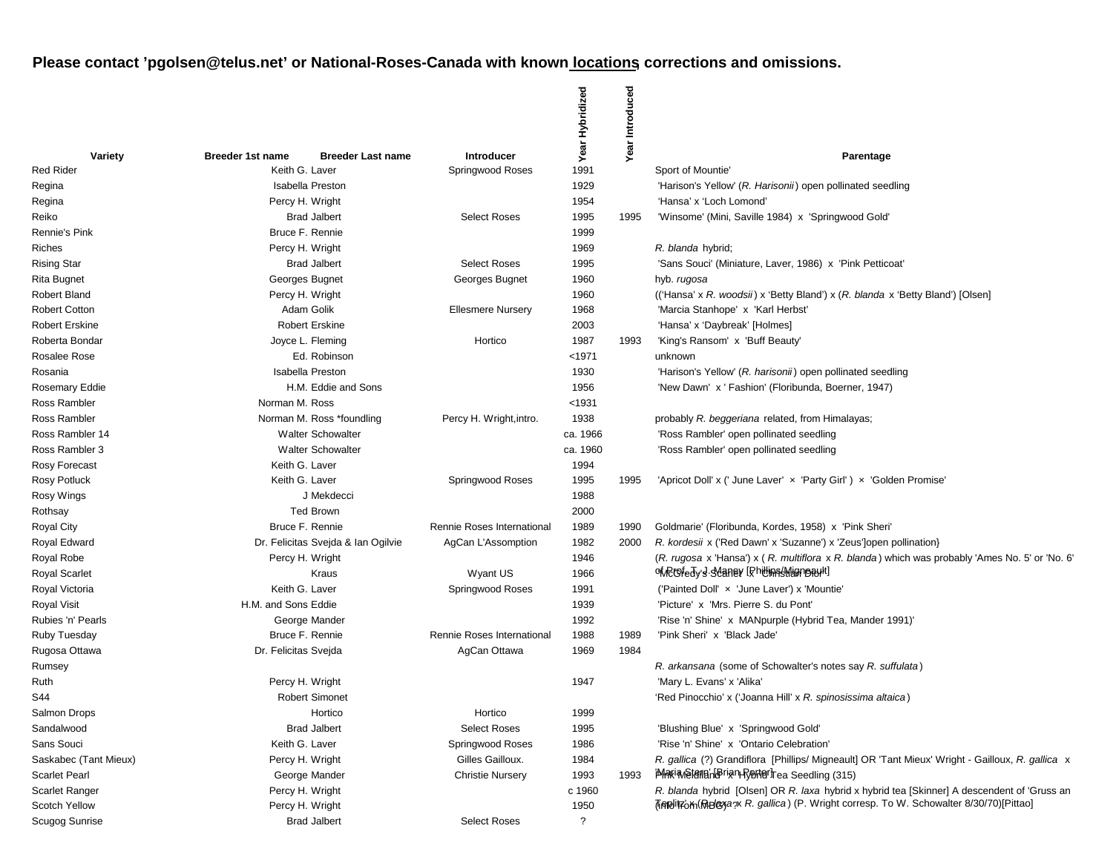|                       |                                                     |                            | Year Hybridized | Year Introduced |                                                                                                  |
|-----------------------|-----------------------------------------------------|----------------------------|-----------------|-----------------|--------------------------------------------------------------------------------------------------|
| Variety               | <b>Breeder 1st name</b><br><b>Breeder Last name</b> | Introducer                 |                 |                 | Parentage                                                                                        |
| Red Rider             | Keith G. Laver                                      | Springwood Roses           | 1991            |                 | Sport of Mountie                                                                                 |
| Regina                | <b>Isabella Preston</b>                             |                            | 1929            |                 | 'Harison's Yellow' (R. Harisonii) open pollinated seedling                                       |
| Regina                | Percy H. Wright                                     |                            | 1954            |                 | 'Hansa' x 'Loch Lomond'                                                                          |
| Reiko                 | <b>Brad Jalbert</b>                                 | <b>Select Roses</b>        | 1995            | 1995            | 'Winsome' (Mini, Saville 1984) x 'Springwood Gold'                                               |
| Rennie's Pink         | Bruce F. Rennie                                     |                            | 1999            |                 |                                                                                                  |
| Riches                | Percy H. Wright                                     |                            | 1969            |                 | R. blanda hybrid;                                                                                |
| Rising Star           | <b>Brad Jalbert</b>                                 | <b>Select Roses</b>        | 1995            |                 | 'Sans Souci' (Miniature, Laver, 1986) x 'Pink Petticoat'                                         |
| Rita Bugnet           | Georges Bugnet                                      | Georges Bugnet             | 1960            |                 | hyb. rugosa                                                                                      |
| Robert Bland          | Percy H. Wright                                     |                            | 1960            |                 | (('Hansa' x R. woodsii) x 'Betty Bland') x (R. blanda x 'Betty Bland') [Olsen]                   |
| Robert Cotton         | Adam Golik                                          | <b>Ellesmere Nursery</b>   | 1968            |                 | 'Marcia Stanhope' x 'Karl Herbst'                                                                |
| <b>Robert Erskine</b> | <b>Robert Erskine</b>                               |                            | 2003            |                 | 'Hansa' x 'Daybreak' [Holmes]                                                                    |
| Roberta Bondar        | Joyce L. Fleming                                    | Hortico                    | 1987            | 1993            | 'King's Ransom' x 'Buff Beauty'                                                                  |
| Rosalee Rose          | Ed. Robinson                                        |                            | $1971$          |                 | unknown                                                                                          |
| Rosania               | <b>Isabella Preston</b>                             |                            | 1930            |                 | 'Harison's Yellow' (R. harisonii) open pollinated seedling                                       |
| Rosemary Eddie        | H.M. Eddie and Sons                                 |                            | 1956            |                 | 'New Dawn' x ' Fashion' (Floribunda, Boerner, 1947)                                              |
| Ross Rambler          | Norman M. Ross                                      |                            | < 1931          |                 |                                                                                                  |
| Ross Rambler          | Norman M. Ross *foundling                           | Percy H. Wright, intro.    | 1938            |                 | probably R. beggeriana related, from Himalayas;                                                  |
| Ross Rambler 14       | <b>Walter Schowalter</b>                            |                            | ca. 1966        |                 | 'Ross Rambler' open pollinated seedling                                                          |
| Ross Rambler 3        | <b>Walter Schowalter</b>                            |                            | ca. 1960        |                 | 'Ross Rambler' open pollinated seedling                                                          |
| Rosy Forecast         | Keith G. Laver                                      |                            | 1994            |                 |                                                                                                  |
| Rosy Potluck          | Keith G. Laver                                      | Springwood Roses           | 1995            | 1995            | 'Apricot Doll' x (' June Laver' x 'Party Girl') x 'Golden Promise'                               |
| Rosy Wings            | J Mekdecci                                          |                            | 1988            |                 |                                                                                                  |
| Rothsay               | <b>Ted Brown</b>                                    |                            | 2000            |                 |                                                                                                  |
| Royal City            | Bruce F. Rennie                                     | Rennie Roses International | 1989            | 1990            | Goldmarie' (Floribunda, Kordes, 1958) x 'Pink Sheri'                                             |
| Royal Edward          | Dr. Felicitas Svejda & Ian Ogilvie                  | AgCan L'Assomption         | 1982            | 2000            | R. kordesii x ('Red Dawn' x 'Suzanne') x 'Zeus']open pollination}                                |
| Royal Robe            | Percy H. Wright                                     |                            | 1946            |                 | (R. rugosa x 'Hansa') x (R. multiflora x R. blanda) which was probably 'Ames No. 5' or 'No. 6'   |
| Royal Scarlet         | Kraus                                               | Wyant US                   | 1966            |                 | of Roofedy's Scaney [RhitlingsMightenbay ht]                                                     |
| Royal Victoria        | Keith G. Laver                                      | Springwood Roses           | 1991            |                 | ('Painted Doll' x 'June Laver') x 'Mountie'                                                      |
| Royal Visit           | H.M. and Sons Eddie                                 |                            | 1939            |                 | 'Picture' x 'Mrs. Pierre S. du Pont'                                                             |
| Rubies 'n' Pearls     | George Mander                                       |                            | 1992            |                 | 'Rise 'n' Shine' x MANpurple (Hybrid Tea, Mander 1991)'                                          |
| Ruby Tuesday          | Bruce F. Rennie                                     | Rennie Roses International | 1988            | 1989            | 'Pink Sheri' x 'Black Jade'                                                                      |
| Rugosa Ottawa         | Dr. Felicitas Svejda                                | AgCan Ottawa               | 1969            | 1984            |                                                                                                  |
| Rumsey                |                                                     |                            |                 |                 | R. arkansana (some of Schowalter's notes say R. suffulata)                                       |
| Ruth                  | Percy H. Wright                                     |                            | 1947            |                 | 'Mary L. Evans' x 'Alika'                                                                        |
| S44                   | <b>Robert Simonet</b>                               |                            |                 |                 | 'Red Pinocchio' x ('Joanna Hill' x R. spinosissima altaica)                                      |
| Salmon Drops          | Hortico                                             | Hortico                    | 1999            |                 |                                                                                                  |
| Sandalwood            | <b>Brad Jalbert</b>                                 | <b>Select Roses</b>        | 1995            |                 | 'Blushing Blue' x 'Springwood Gold'                                                              |
| Sans Souci            | Keith G. Laver                                      | Springwood Roses           | 1986            |                 | 'Rise 'n' Shine' x 'Ontario Celebration'                                                         |
| Saskabec (Tant Mieux) | Percy H. Wright                                     | Gilles Gailloux.           | 1984            |                 | R. gallica (?) Grandiflora [Phillips/ Migneault] OR 'Tant Mieux' Wright - Gailloux, R. gallica x |
| <b>Scarlet Pearl</b>  | George Mander                                       | <b>Christie Nursery</b>    | 1993            | 1993            | <b>Makiaveterlanderian+RenterTrea Seedling (315)</b>                                             |
| Scarlet Ranger        | Percy H. Wright                                     |                            | c 1960          |                 | R. blanda hybrid [Olsen] OR R. laxa hybrid x hybrid tea [Skinner] A descendent of 'Gruss an      |
| <b>Scotch Yellow</b>  | Percy H. Wright                                     |                            | 1950            |                 | Timplitrom(MBleyanx R. gallica) (P. Wright corresp. To W. Schowalter 8/30/70)[Pittao]            |
| Scugog Sunrise        | <b>Brad Jalbert</b>                                 | <b>Select Roses</b>        | ?               |                 |                                                                                                  |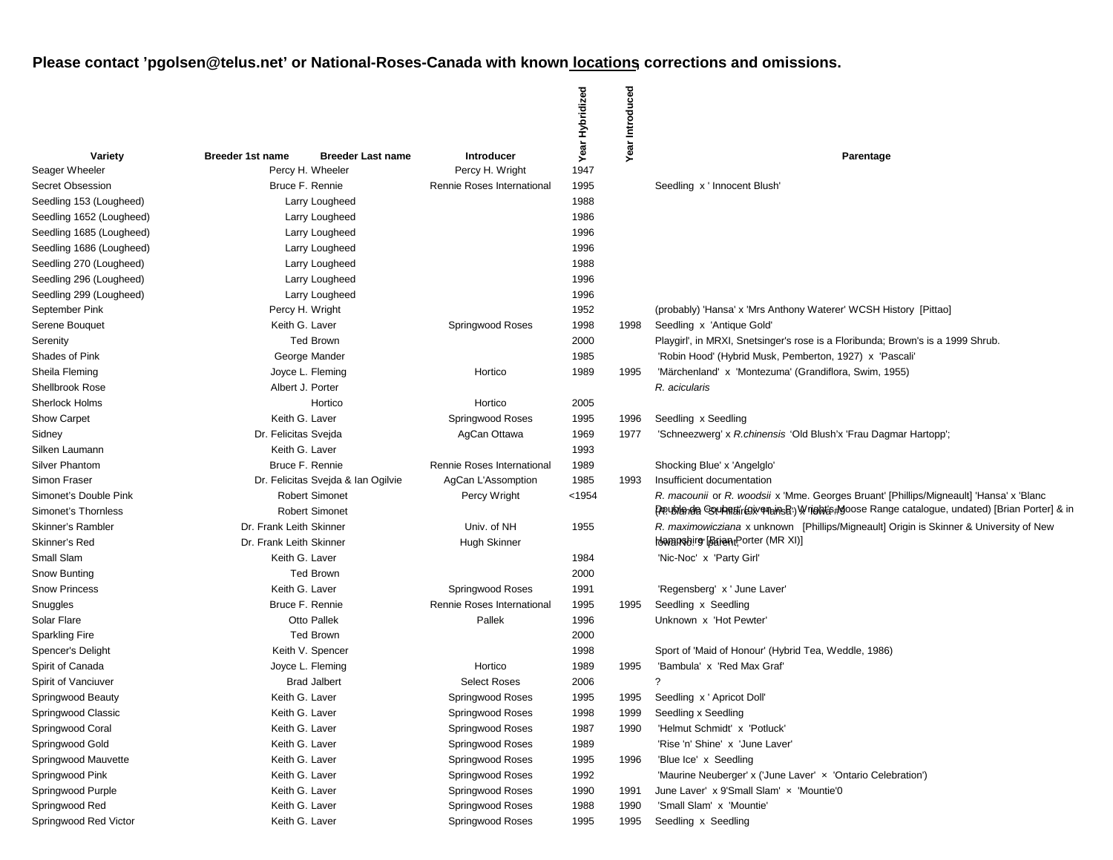|                          |                                    |                          |                            | Year Hybridized | Introduced |                                                                                                 |
|--------------------------|------------------------------------|--------------------------|----------------------------|-----------------|------------|-------------------------------------------------------------------------------------------------|
| Variety                  | <b>Breeder 1st name</b>            | <b>Breeder Last name</b> | <b>Introducer</b>          |                 | Year       | Parentage                                                                                       |
| Seager Wheeler           |                                    | Percy H. Wheeler         | Percy H. Wright            | 1947            |            |                                                                                                 |
| Secret Obsession         | Bruce F. Rennie                    |                          | Rennie Roses International | 1995            |            | Seedling x ' Innocent Blush'                                                                    |
| Seedling 153 (Lougheed)  |                                    | Larry Lougheed           |                            | 1988            |            |                                                                                                 |
| Seedling 1652 (Lougheed) |                                    | Larry Lougheed           |                            | 1986            |            |                                                                                                 |
| Seedling 1685 (Lougheed) |                                    | Larry Lougheed           |                            | 1996            |            |                                                                                                 |
| Seedling 1686 (Lougheed) |                                    | Larry Lougheed           |                            | 1996            |            |                                                                                                 |
| Seedling 270 (Lougheed)  |                                    | Larry Lougheed           |                            | 1988            |            |                                                                                                 |
| Seedling 296 (Lougheed)  |                                    | Larry Lougheed           |                            | 1996            |            |                                                                                                 |
| Seedling 299 (Lougheed)  |                                    | Larry Lougheed           |                            | 1996            |            |                                                                                                 |
| September Pink           |                                    | Percy H. Wright          |                            | 1952            |            | (probably) 'Hansa' x 'Mrs Anthony Waterer' WCSH History [Pittao]                                |
| Serene Bouquet           | Keith G. Laver                     |                          | Springwood Roses           | 1998            | 1998       | Seedling x 'Antique Gold'                                                                       |
| Serenity                 |                                    | <b>Ted Brown</b>         |                            | 2000            |            | Playgirl', in MRXI, Snetsinger's rose is a Floribunda; Brown's is a 1999 Shrub.                 |
| Shades of Pink           |                                    | George Mander            |                            | 1985            |            | 'Robin Hood' (Hybrid Musk, Pemberton, 1927) x 'Pascali'                                         |
| Sheila Fleming           |                                    | Joyce L. Fleming         | Hortico                    | 1989            | 1995       | 'Märchenland' x 'Montezuma' (Grandiflora, Swim, 1955)                                           |
| <b>Shellbrook Rose</b>   | Albert J. Porter                   |                          |                            |                 |            | R. acicularis                                                                                   |
| <b>Sherlock Holms</b>    |                                    | Hortico                  | Hortico                    | 2005            |            |                                                                                                 |
| Show Carpet              | Keith G. Laver                     |                          | Springwood Roses           | 1995            | 1996       | Seedling x Seedling                                                                             |
| Sidney                   | Dr. Felicitas Svejda               |                          | AgCan Ottawa               | 1969            | 1977       | 'Schneezwerg' x R.chinensis 'Old Blush'x 'Frau Dagmar Hartopp';                                 |
| Silken Laumann           | Keith G. Laver                     |                          |                            | 1993            |            |                                                                                                 |
| <b>Silver Phantom</b>    | Bruce F. Rennie                    |                          | Rennie Roses International | 1989            |            | Shocking Blue' x 'Angelglo'                                                                     |
| <b>Simon Fraser</b>      | Dr. Felicitas Svejda & Ian Ogilvie |                          | AgCan L'Assomption         | 1985            | 1993       | Insufficient documentation                                                                      |
| Simonet's Double Pink    | <b>Robert Simonet</b>              |                          | Percy Wright               | < 1954          |            | R. macounii or R. woodsii x 'Mme. Georges Bruant' [Phillips/Migneault] 'Hansa' x 'Blanc         |
| Simonet's Thornless      |                                    | <b>Robert Simonet</b>    |                            |                 |            | PRublanda Coupetin(give Pains Bi) Wright's #Moose Range catalogue, undated) [Brian Porter] & in |
| Skinner's Rambler        | Dr. Frank Leith Skinner            |                          | Univ. of NH                | 1955            |            | R. maximowicziana x unknown [Phillips/Migneault] Origin is Skinner & University of New          |
| Skinner's Red            | Dr. Frank Leith Skinner            |                          | Hugh Skinner               |                 |            | Haransbire Barent Porter (MR XI)]                                                               |
| Small Slam               | Keith G. Laver                     |                          |                            | 1984            |            | 'Nic-Noc' x 'Party Girl'                                                                        |
| Snow Bunting             |                                    | <b>Ted Brown</b>         |                            | 2000            |            |                                                                                                 |
| <b>Snow Princess</b>     | Keith G. Laver                     |                          | Springwood Roses           | 1991            |            | 'Regensberg' x ' June Laver'                                                                    |
| Snuggles                 |                                    | Bruce F. Rennie          | Rennie Roses International | 1995            | 1995       | Seedling x Seedling                                                                             |
| Solar Flare              |                                    | Otto Pallek              | Pallek                     | 1996            |            | Unknown x 'Hot Pewter'                                                                          |
| <b>Sparkling Fire</b>    |                                    | <b>Ted Brown</b>         |                            | 2000            |            |                                                                                                 |
| Spencer's Delight        |                                    | Keith V. Spencer         |                            | 1998            |            | Sport of 'Maid of Honour' (Hybrid Tea, Weddle, 1986)                                            |
| Spirit of Canada         |                                    | Joyce L. Fleming         | Hortico                    | 1989            | 1995       | 'Bambula' x 'Red Max Graf'                                                                      |
| Spirit of Vanciuver      | <b>Brad Jalbert</b>                |                          | <b>Select Roses</b>        | 2006            |            |                                                                                                 |
| Springwood Beauty        | Keith G. Laver                     |                          | Springwood Roses           | 1995            | 1995       | Seedling x ' Apricot Doll'                                                                      |
| Springwood Classic       | Keith G. Laver                     |                          | Springwood Roses           | 1998            | 1999       | Seedling x Seedling                                                                             |
| Springwood Coral         | Keith G. Laver                     |                          | Springwood Roses           | 1987            | 1990       | 'Helmut Schmidt' x 'Potluck'                                                                    |
| Springwood Gold          | Keith G. Laver                     |                          | Springwood Roses           | 1989            |            | 'Rise 'n' Shine' x 'June Laver'                                                                 |
| Springwood Mauvette      | Keith G. Laver                     |                          | Springwood Roses           | 1995            | 1996       | 'Blue Ice' x Seedling                                                                           |
| Springwood Pink          | Keith G. Laver                     |                          | Springwood Roses           | 1992            |            | 'Maurine Neuberger' x ('June Laver' x 'Ontario Celebration')                                    |
| Springwood Purple        | Keith G. Laver                     |                          | Springwood Roses           | 1990            | 1991       | June Laver' x 9'Small Slam' x 'Mountie'0                                                        |
| Springwood Red           | Keith G. Laver                     |                          | Springwood Roses           | 1988            | 1990       | 'Small Slam' x 'Mountie'                                                                        |
| Springwood Red Victor    | Keith G. Laver                     |                          | Springwood Roses           | 1995            | 1995       | Seedling x Seedling                                                                             |
|                          |                                    |                          |                            |                 |            |                                                                                                 |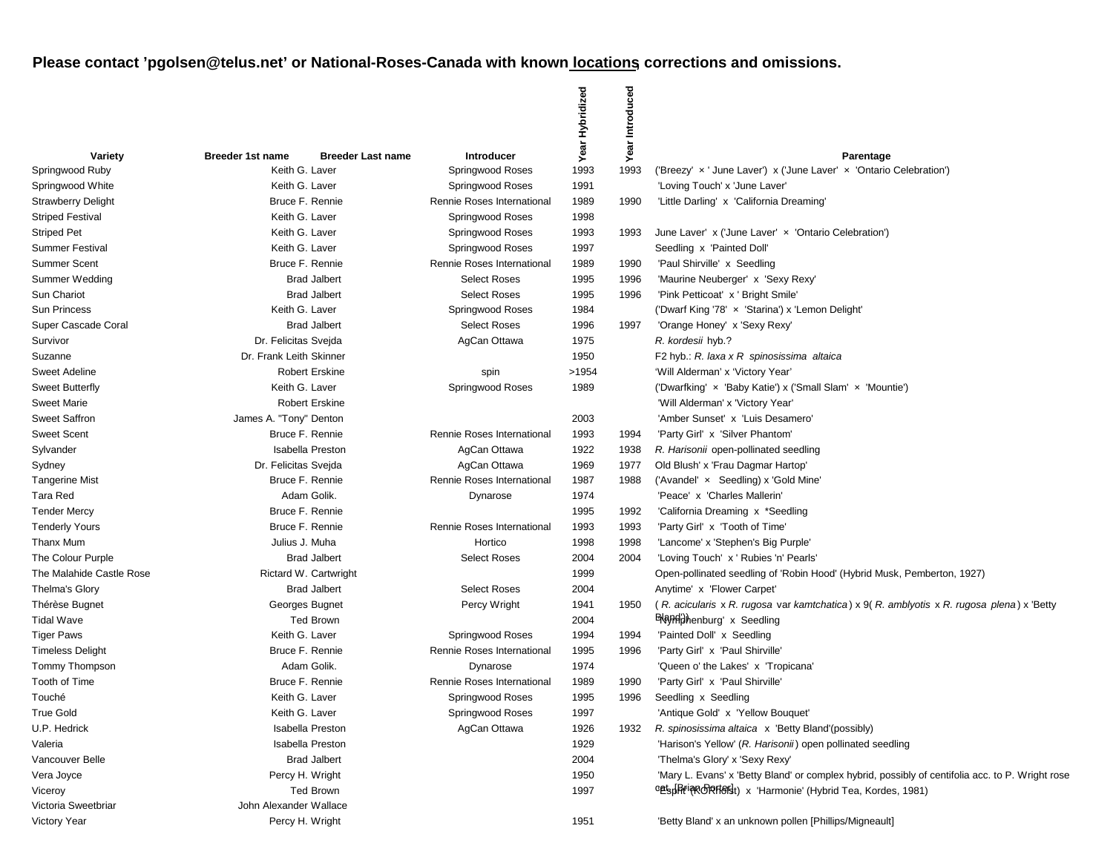|                           |                         |                          |                            | Year Hybridized | Introduced |                                                                                                  |
|---------------------------|-------------------------|--------------------------|----------------------------|-----------------|------------|--------------------------------------------------------------------------------------------------|
| Variety                   | <b>Breeder 1st name</b> | <b>Breeder Last name</b> | <b>Introducer</b>          |                 | Year       | Parentage                                                                                        |
| Springwood Ruby           | Keith G. Laver          |                          | Springwood Roses           | 1993            | 1993       | ('Breezy' x ' June Laver') x ('June Laver' x 'Ontario Celebration')                              |
| Springwood White          | Keith G. Laver          |                          | Springwood Roses           | 1991            |            | 'Loving Touch' x 'June Laver'                                                                    |
| <b>Strawberry Delight</b> | Bruce F. Rennie         |                          | Rennie Roses International | 1989            | 1990       | 'Little Darling' x 'California Dreaming'                                                         |
| <b>Striped Festival</b>   | Keith G. Laver          |                          | Springwood Roses           | 1998            |            |                                                                                                  |
| Striped Pet               | Keith G. Laver          |                          | Springwood Roses           | 1993            | 1993       | June Laver' x ('June Laver' x 'Ontario Celebration')                                             |
| Summer Festival           | Keith G. Laver          |                          | Springwood Roses           | 1997            |            | Seedling x 'Painted Doll'                                                                        |
| Summer Scent              | Bruce F. Rennie         |                          | Rennie Roses International | 1989            | 1990       | 'Paul Shirville' x Seedling                                                                      |
| Summer Wedding            |                         | <b>Brad Jalbert</b>      | <b>Select Roses</b>        | 1995            | 1996       | 'Maurine Neuberger' x 'Sexy Rexy'                                                                |
| Sun Chariot               |                         | <b>Brad Jalbert</b>      | <b>Select Roses</b>        | 1995            | 1996       | 'Pink Petticoat' x ' Bright Smile'                                                               |
| <b>Sun Princess</b>       | Keith G. Laver          |                          | Springwood Roses           | 1984            |            | ('Dwarf King '78' x 'Starina') x 'Lemon Delight'                                                 |
| Super Cascade Coral       |                         | <b>Brad Jalbert</b>      | <b>Select Roses</b>        | 1996            | 1997       | 'Orange Honey' x 'Sexy Rexy'                                                                     |
| Survivor                  | Dr. Felicitas Svejda    |                          | AgCan Ottawa               | 1975            |            | R. kordesii hyb.?                                                                                |
| Suzanne                   | Dr. Frank Leith Skinner |                          |                            | 1950            |            | F2 hyb.: R. laxa x R spinosissima altaica                                                        |
| <b>Sweet Adeline</b>      |                         | <b>Robert Erskine</b>    | spin                       | >1954           |            | 'Will Alderman' x 'Victory Year'                                                                 |
| Sweet Butterfly           | Keith G. Laver          |                          | Springwood Roses           | 1989            |            | ('Dwarfking' x 'Baby Katie') x ('Small Slam' x 'Mountie')                                        |
| <b>Sweet Marie</b>        |                         | <b>Robert Erskine</b>    |                            |                 |            | 'Will Alderman' x 'Victory Year'                                                                 |
| Sweet Saffron             | James A. "Tony" Denton  |                          |                            | 2003            |            | 'Amber Sunset' x 'Luis Desamero'                                                                 |
| <b>Sweet Scent</b>        | Bruce F. Rennie         |                          | Rennie Roses International | 1993            | 1994       | 'Party Girl' x 'Silver Phantom'                                                                  |
| Sylvander                 |                         | <b>Isabella Preston</b>  | AgCan Ottawa               | 1922            | 1938       | R. Harisonii open-pollinated seedling                                                            |
| Sydney                    | Dr. Felicitas Svejda    |                          | AgCan Ottawa               | 1969            | 1977       | Old Blush' x 'Frau Dagmar Hartop'                                                                |
| Tangerine Mist            | Bruce F. Rennie         |                          | Rennie Roses International | 1987            | 1988       | ('Avandel' x Seedling) x 'Gold Mine'                                                             |
| Tara Red                  | Adam Golik.             |                          | Dynarose                   | 1974            |            | 'Peace' x 'Charles Mallerin'                                                                     |
| <b>Tender Mercy</b>       | Bruce F. Rennie         |                          |                            | 1995            | 1992       | 'California Dreaming x *Seedling                                                                 |
| <b>Tenderly Yours</b>     | Bruce F. Rennie         |                          | Rennie Roses International | 1993            | 1993       | 'Party Girl' x 'Tooth of Time'                                                                   |
| Thanx Mum                 | Julius J. Muha          |                          | Hortico                    | 1998            | 1998       | 'Lancome' x 'Stephen's Big Purple'                                                               |
| The Colour Purple         |                         | <b>Brad Jalbert</b>      | <b>Select Roses</b>        | 2004            | 2004       | 'Loving Touch' x ' Rubies 'n' Pearls'                                                            |
| The Malahide Castle Rose  |                         | Rictard W. Cartwright    |                            | 1999            |            | Open-pollinated seedling of 'Robin Hood' (Hybrid Musk, Pemberton, 1927)                          |
| Thelma's Glory            |                         | <b>Brad Jalbert</b>      | <b>Select Roses</b>        | 2004            |            | Anytime' x 'Flower Carpet'                                                                       |
| Thérèse Bugnet            | Georges Bugnet          |                          | Percy Wright               | 1941            | 1950       | (R. acicularis x R. rugosa var kamtchatica) x 9(R. amblyotis x R. rugosa plena) x 'Betty         |
| <b>Tidal Wave</b>         |                         | <b>Ted Brown</b>         |                            | 2004            |            | <b>ENayiniphenburg'</b> x Seedling                                                               |
| <b>Tiger Paws</b>         | Keith G. Laver          |                          | Springwood Roses           | 1994            | 1994       | 'Painted Doll' x Seedling                                                                        |
| <b>Timeless Delight</b>   | Bruce F. Rennie         |                          | Rennie Roses International | 1995            | 1996       | 'Party Girl' x 'Paul Shirville'                                                                  |
| Tommy Thompson            |                         | Adam Golik.              | Dynarose                   | 1974            |            | 'Queen o' the Lakes' x 'Tropicana'                                                               |
| Tooth of Time             | Bruce F. Rennie         |                          | Rennie Roses International | 1989            | 1990       | 'Party Girl' x 'Paul Shirville'                                                                  |
| Touché                    | Keith G. Laver          |                          | Springwood Roses           | 1995            | 1996       | Seedling x Seedling                                                                              |
| <b>True Gold</b>          | Keith G. Laver          |                          | Springwood Roses           | 1997            |            | 'Antique Gold' x 'Yellow Bouquet'                                                                |
| U.P. Hedrick              |                         | <b>Isabella Preston</b>  | AgCan Ottawa               | 1926            | 1932       | R. spinosissima altaica x 'Betty Bland'(possibly)                                                |
| Valeria                   |                         | <b>Isabella Preston</b>  |                            | 1929            |            | 'Harison's Yellow' (R. Harisonii) open pollinated seedling                                       |
| Vancouver Belle           |                         | <b>Brad Jalbert</b>      |                            | 2004            |            | 'Thelma's Glory' x 'Sexy Rexy'                                                                   |
| Vera Joyce                | Percy H. Wright         |                          |                            | 1950            |            | 'Mary L. Evans' x 'Betty Bland' or complex hybrid, possibly of centifolia acc. to P. Wright rose |
| Viceroy                   |                         | <b>Ted Brown</b>         |                            | 1997            |            | cets ArianoPartersit) x 'Harmonie' (Hybrid Tea, Kordes, 1981)                                    |
| Victoria Sweetbriar       | John Alexander Wallace  |                          |                            |                 |            |                                                                                                  |
| Victory Year              | Percy H. Wright         |                          |                            | 1951            |            | 'Betty Bland' x an unknown pollen [Phillips/Migneault]                                           |
|                           |                         |                          |                            |                 |            |                                                                                                  |